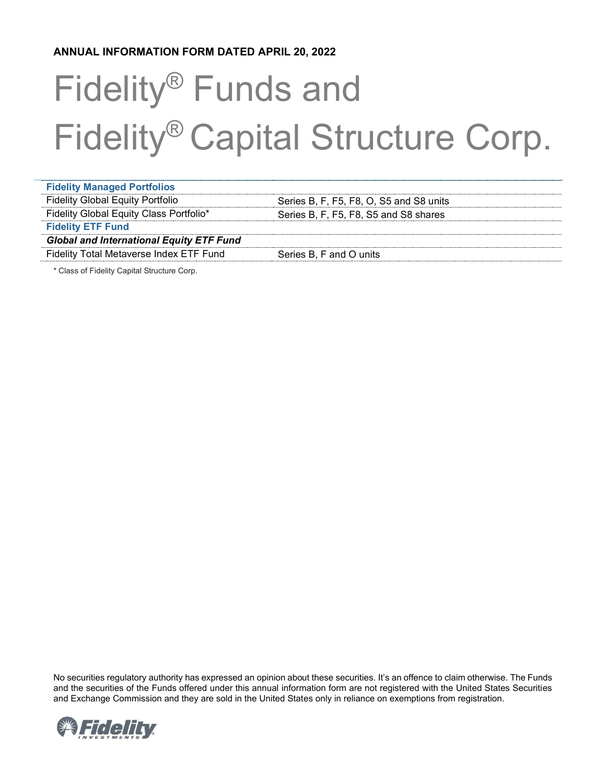# **ANNUAL INFORMATION FORM DATED APRIL 20, 2022**

# Fidelity® Funds and Fidelity® Capital Structure Corp.

| <b>Fidelity Managed Portfolios</b>              |                                         |
|-------------------------------------------------|-----------------------------------------|
| <b>Fidelity Global Equity Portfolio</b>         | Series B, F, F5, F8, O, S5 and S8 units |
| Fidelity Global Equity Class Portfolio*         | Series B, F, F5, F8, S5 and S8 shares   |
| <b>Fidelity ETF Fund</b>                        |                                         |
| <b>Global and International Equity ETF Fund</b> |                                         |
| Fidelity Total Metaverse Index ETF Fund         | Series B, F and O units                 |
|                                                 |                                         |

\* Class of Fidelity Capital Structure Corp.

No securities regulatory authority has expressed an opinion about these securities. It's an offence to claim otherwise. The Funds and the securities of the Funds offered under this annual information form are not registered with the United States Securities and Exchange Commission and they are sold in the United States only in reliance on exemptions from registration.

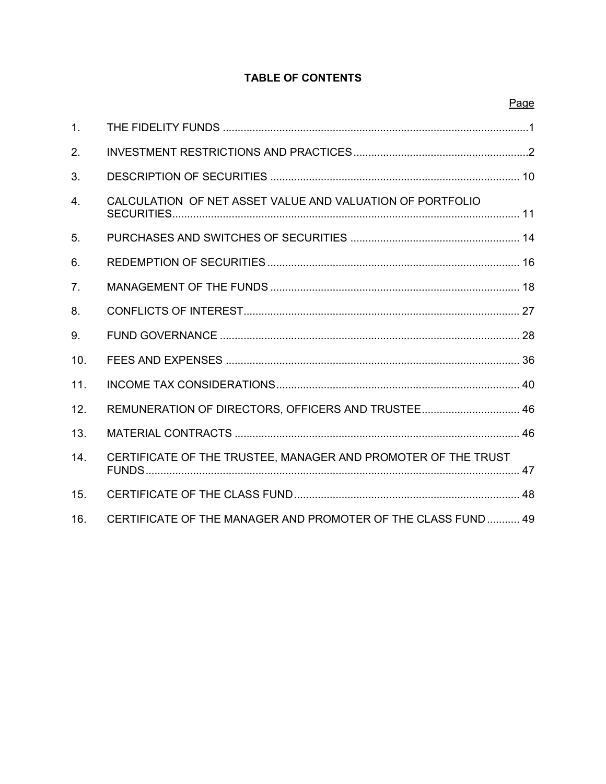# **TABLE OF CONTENTS**

|                  |                                                               | Page |
|------------------|---------------------------------------------------------------|------|
| 1 <sub>1</sub>   |                                                               |      |
| 2.               |                                                               |      |
| 3.               |                                                               |      |
| 4.               | CALCULATION OF NET ASSET VALUE AND VALUATION OF PORTFOLIO     |      |
| 5.               |                                                               |      |
| 6.               |                                                               |      |
| $\overline{7}$ . |                                                               |      |
| 8.               |                                                               |      |
| 9.               |                                                               |      |
| 10.              |                                                               |      |
| 11.              |                                                               |      |
| 12.              | REMUNERATION OF DIRECTORS, OFFICERS AND TRUSTEE 46            |      |
| 13.              |                                                               |      |
| 14.              | CERTIFICATE OF THE TRUSTEE, MANAGER AND PROMOTER OF THE TRUST |      |
| 15.              |                                                               |      |
| 16.              | CERTIFICATE OF THE MANAGER AND PROMOTER OF THE CLASS FUND  49 |      |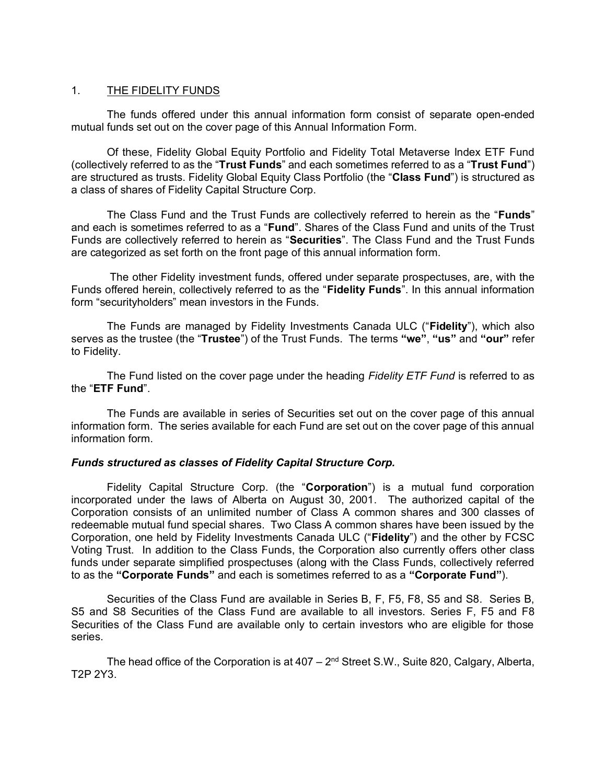## <span id="page-2-0"></span>1. THE FIDELITY FUNDS

The funds offered under this annual information form consist of separate open-ended mutual funds set out on the cover page of this Annual Information Form.

Of these, Fidelity Global Equity Portfolio and Fidelity Total Metaverse Index ETF Fund (collectively referred to as the "**Trust Funds**" and each sometimes referred to as a "**Trust Fund**") are structured as trusts. Fidelity Global Equity Class Portfolio (the "**Class Fund**") is structured as a class of shares of Fidelity Capital Structure Corp.

The Class Fund and the Trust Funds are collectively referred to herein as the "**Funds**" and each is sometimes referred to as a "**Fund**". Shares of the Class Fund and units of the Trust Funds are collectively referred to herein as "**Securities**". The Class Fund and the Trust Funds are categorized as set forth on the front page of this annual information form.

The other Fidelity investment funds, offered under separate prospectuses, are, with the Funds offered herein, collectively referred to as the "**Fidelity Funds**". In this annual information form "securityholders" mean investors in the Funds.

The Funds are managed by Fidelity Investments Canada ULC ("**Fidelity**"), which also serves as the trustee (the "**Trustee**") of the Trust Funds. The terms **"we"**, **"us"** and **"our"** refer to Fidelity.

The Fund listed on the cover page under the heading *Fidelity ETF Fund* is referred to as the "**ETF Fund**".

The Funds are available in series of Securities set out on the cover page of this annual information form. The series available for each Fund are set out on the cover page of this annual information form.

## *Funds structured as classes of Fidelity Capital Structure Corp.*

Fidelity Capital Structure Corp. (the "**Corporation**") is a mutual fund corporation incorporated under the laws of Alberta on August 30, 2001. The authorized capital of the Corporation consists of an unlimited number of Class A common shares and 300 classes of redeemable mutual fund special shares. Two Class A common shares have been issued by the Corporation, one held by Fidelity Investments Canada ULC ("**Fidelity**") and the other by FCSC Voting Trust. In addition to the Class Funds, the Corporation also currently offers other class funds under separate simplified prospectuses (along with the Class Funds, collectively referred to as the **"Corporate Funds"** and each is sometimes referred to as a **"Corporate Fund"**).

Securities of the Class Fund are available in Series B, F, F5, F8, S5 and S8. Series B, S5 and S8 Securities of the Class Fund are available to all investors. Series F, F5 and F8 Securities of the Class Fund are available only to certain investors who are eligible for those series.

The head office of the Corporation is at 407 – 2<sup>nd</sup> Street S.W., Suite 820, Calgary, Alberta, T2P 2Y3.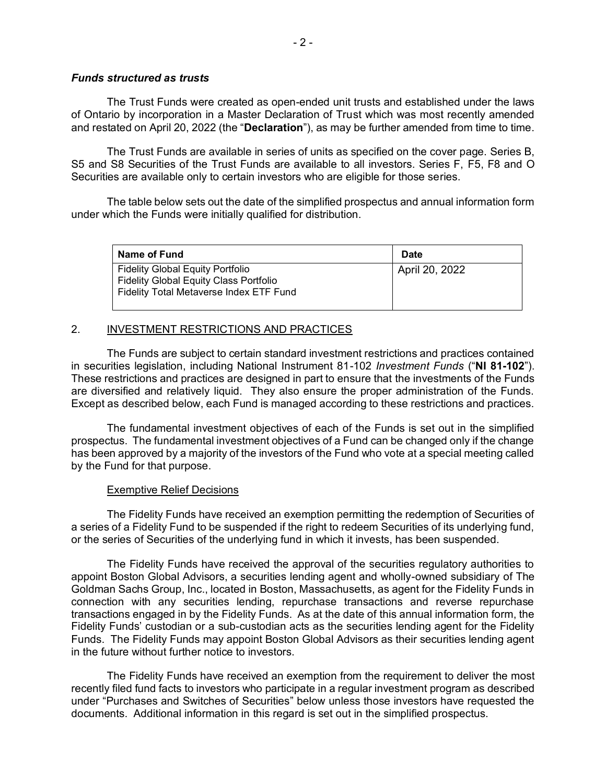#### *Funds structured as trusts*

The Trust Funds were created as open-ended unit trusts and established under the laws of Ontario by incorporation in a Master Declaration of Trust which was most recently amended and restated on April 20, 2022 (the "**Declaration**"), as may be further amended from time to time.

The Trust Funds are available in series of units as specified on the cover page. Series B, S5 and S8 Securities of the Trust Funds are available to all investors. Series F, F5, F8 and O Securities are available only to certain investors who are eligible for those series.

The table below sets out the date of the simplified prospectus and annual information form under which the Funds were initially qualified for distribution.

<span id="page-3-0"></span>

| Name of Fund                                                                                                                        | <b>Date</b>    |
|-------------------------------------------------------------------------------------------------------------------------------------|----------------|
| <b>Fidelity Global Equity Portfolio</b><br><b>Fidelity Global Equity Class Portfolio</b><br>Fidelity Total Metaverse Index ETF Fund | April 20, 2022 |

# 2. INVESTMENT RESTRICTIONS AND PRACTICES

The Funds are subject to certain standard investment restrictions and practices contained in securities legislation, including National Instrument 81-102 *Investment Funds* ("**NI 81-102**"). These restrictions and practices are designed in part to ensure that the investments of the Funds are diversified and relatively liquid. They also ensure the proper administration of the Funds. Except as described below, each Fund is managed according to these restrictions and practices.

The fundamental investment objectives of each of the Funds is set out in the simplified prospectus. The fundamental investment objectives of a Fund can be changed only if the change has been approved by a majority of the investors of the Fund who vote at a special meeting called by the Fund for that purpose.

## Exemptive Relief Decisions

The Fidelity Funds have received an exemption permitting the redemption of Securities of a series of a Fidelity Fund to be suspended if the right to redeem Securities of its underlying fund, or the series of Securities of the underlying fund in which it invests, has been suspended.

The Fidelity Funds have received the approval of the securities regulatory authorities to appoint Boston Global Advisors, a securities lending agent and wholly-owned subsidiary of The Goldman Sachs Group, Inc., located in Boston, Massachusetts, as agent for the Fidelity Funds in connection with any securities lending, repurchase transactions and reverse repurchase transactions engaged in by the Fidelity Funds. As at the date of this annual information form, the Fidelity Funds' custodian or a sub-custodian acts as the securities lending agent for the Fidelity Funds. The Fidelity Funds may appoint Boston Global Advisors as their securities lending agent in the future without further notice to investors.

The Fidelity Funds have received an exemption from the requirement to deliver the most recently filed fund facts to investors who participate in a regular investment program as described under "Purchases and Switches of Securities" below unless those investors have requested the documents. Additional information in this regard is set out in the simplified prospectus.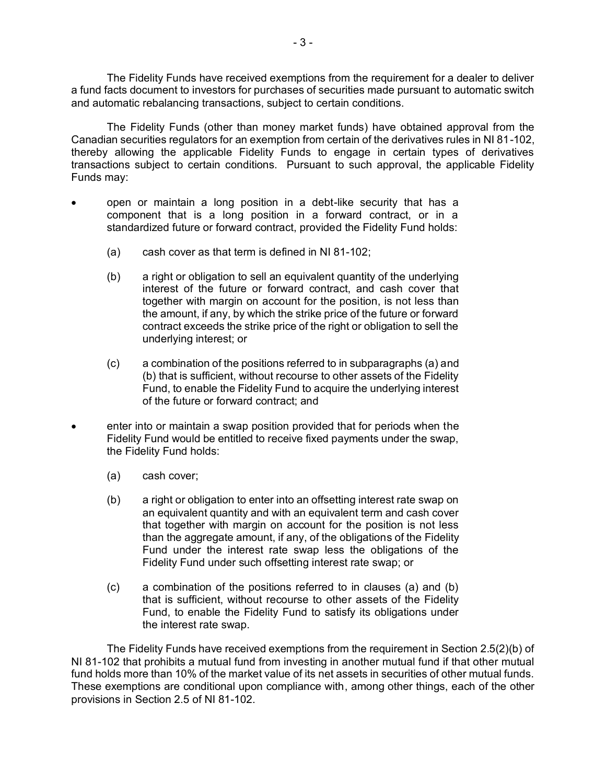The Fidelity Funds have received exemptions from the requirement for a dealer to deliver a fund facts document to investors for purchases of securities made pursuant to automatic switch and automatic rebalancing transactions, subject to certain conditions.

The Fidelity Funds (other than money market funds) have obtained approval from the Canadian securities regulators for an exemption from certain of the derivatives rules in NI 81-102, thereby allowing the applicable Fidelity Funds to engage in certain types of derivatives transactions subject to certain conditions. Pursuant to such approval, the applicable Fidelity Funds may:

- open or maintain a long position in a debt-like security that has a component that is a long position in a forward contract, or in a standardized future or forward contract, provided the Fidelity Fund holds:
	- (a) cash cover as that term is defined in NI 81-102;
	- (b) a right or obligation to sell an equivalent quantity of the underlying interest of the future or forward contract, and cash cover that together with margin on account for the position, is not less than the amount, if any, by which the strike price of the future or forward contract exceeds the strike price of the right or obligation to sell the underlying interest; or
	- (c) a combination of the positions referred to in subparagraphs (a) and (b) that is sufficient, without recourse to other assets of the Fidelity Fund, to enable the Fidelity Fund to acquire the underlying interest of the future or forward contract; and
- enter into or maintain a swap position provided that for periods when the Fidelity Fund would be entitled to receive fixed payments under the swap, the Fidelity Fund holds:
	- (a) cash cover;
	- (b) a right or obligation to enter into an offsetting interest rate swap on an equivalent quantity and with an equivalent term and cash cover that together with margin on account for the position is not less than the aggregate amount, if any, of the obligations of the Fidelity Fund under the interest rate swap less the obligations of the Fidelity Fund under such offsetting interest rate swap; or
	- (c) a combination of the positions referred to in clauses (a) and (b) that is sufficient, without recourse to other assets of the Fidelity Fund, to enable the Fidelity Fund to satisfy its obligations under the interest rate swap.

The Fidelity Funds have received exemptions from the requirement in Section 2.5(2)(b) of NI 81-102 that prohibits a mutual fund from investing in another mutual fund if that other mutual fund holds more than 10% of the market value of its net assets in securities of other mutual funds. These exemptions are conditional upon compliance with, among other things, each of the other provisions in Section 2.5 of NI 81-102.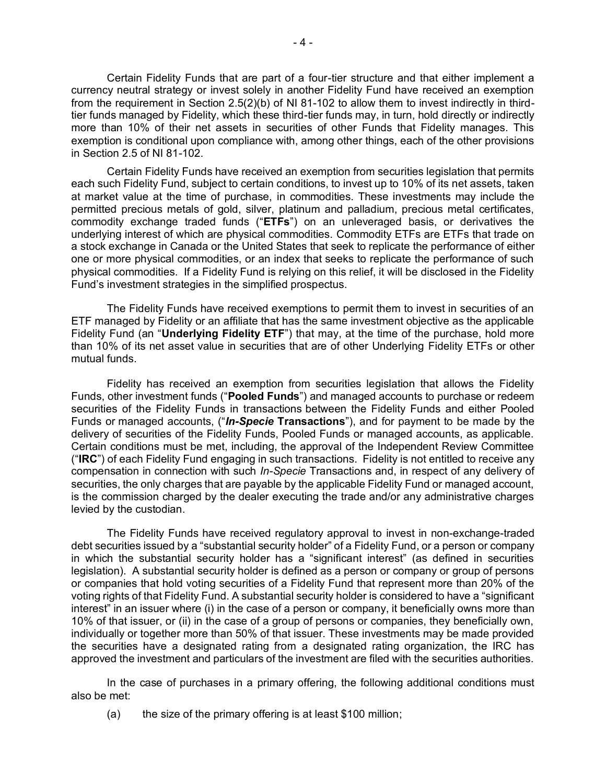Certain Fidelity Funds that are part of a four-tier structure and that either implement a currency neutral strategy or invest solely in another Fidelity Fund have received an exemption from the requirement in Section 2.5(2)(b) of NI 81-102 to allow them to invest indirectly in thirdtier funds managed by Fidelity, which these third-tier funds may, in turn, hold directly or indirectly more than 10% of their net assets in securities of other Funds that Fidelity manages. This exemption is conditional upon compliance with, among other things, each of the other provisions in Section 2.5 of NI 81-102.

Certain Fidelity Funds have received an exemption from securities legislation that permits each such Fidelity Fund, subject to certain conditions, to invest up to 10% of its net assets, taken at market value at the time of purchase, in commodities. These investments may include the permitted precious metals of gold, silver, platinum and palladium, precious metal certificates, commodity exchange traded funds ("**ETFs**") on an unleveraged basis, or derivatives the underlying interest of which are physical commodities. Commodity ETFs are ETFs that trade on a stock exchange in Canada or the United States that seek to replicate the performance of either one or more physical commodities, or an index that seeks to replicate the performance of such physical commodities. If a Fidelity Fund is relying on this relief, it will be disclosed in the Fidelity Fund's investment strategies in the simplified prospectus.

The Fidelity Funds have received exemptions to permit them to invest in securities of an ETF managed by Fidelity or an affiliate that has the same investment objective as the applicable Fidelity Fund (an "**Underlying Fidelity ETF**") that may, at the time of the purchase, hold more than 10% of its net asset value in securities that are of other Underlying Fidelity ETFs or other mutual funds.

Fidelity has received an exemption from securities legislation that allows the Fidelity Funds, other investment funds ("**Pooled Funds**") and managed accounts to purchase or redeem securities of the Fidelity Funds in transactions between the Fidelity Funds and either Pooled Funds or managed accounts, ("*In-Specie* **Transactions**"), and for payment to be made by the delivery of securities of the Fidelity Funds, Pooled Funds or managed accounts, as applicable. Certain conditions must be met, including, the approval of the Independent Review Committee ("**IRC**") of each Fidelity Fund engaging in such transactions. Fidelity is not entitled to receive any compensation in connection with such *In-Specie* Transactions and, in respect of any delivery of securities, the only charges that are payable by the applicable Fidelity Fund or managed account, is the commission charged by the dealer executing the trade and/or any administrative charges levied by the custodian.

The Fidelity Funds have received regulatory approval to invest in non-exchange-traded debt securities issued by a "substantial security holder" of a Fidelity Fund, or a person or company in which the substantial security holder has a "significant interest" (as defined in securities legislation). A substantial security holder is defined as a person or company or group of persons or companies that hold voting securities of a Fidelity Fund that represent more than 20% of the voting rights of that Fidelity Fund. A substantial security holder is considered to have a "significant interest" in an issuer where (i) in the case of a person or company, it beneficially owns more than 10% of that issuer, or (ii) in the case of a group of persons or companies, they beneficially own, individually or together more than 50% of that issuer. These investments may be made provided the securities have a designated rating from a designated rating organization, the IRC has approved the investment and particulars of the investment are filed with the securities authorities.

In the case of purchases in a primary offering, the following additional conditions must also be met:

(a) the size of the primary offering is at least \$100 million;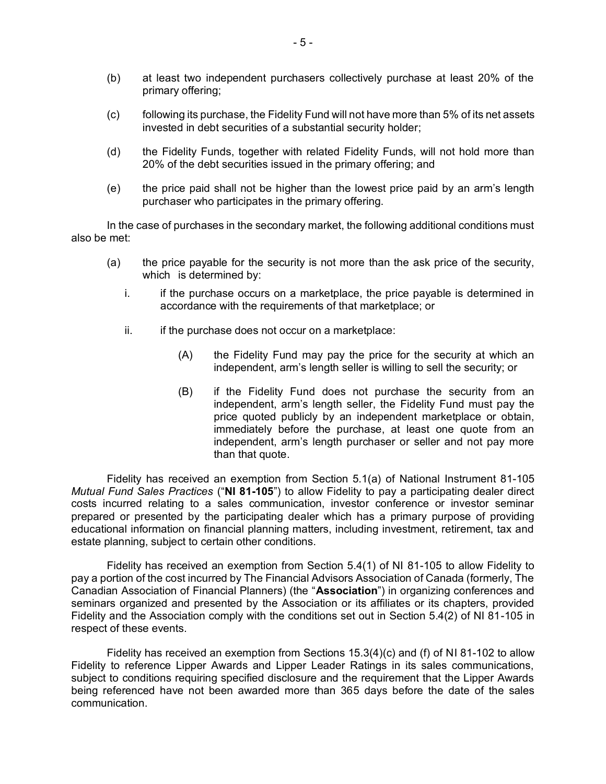- (b) at least two independent purchasers collectively purchase at least 20% of the primary offering;
- (c) following its purchase, the Fidelity Fund will not have more than 5% of its net assets invested in debt securities of a substantial security holder;
- (d) the Fidelity Funds, together with related Fidelity Funds, will not hold more than 20% of the debt securities issued in the primary offering; and
- (e) the price paid shall not be higher than the lowest price paid by an arm's length purchaser who participates in the primary offering.

In the case of purchases in the secondary market, the following additional conditions must also be met:

- (a) the price payable for the security is not more than the ask price of the security, which is determined by:
	- i. if the purchase occurs on a marketplace, the price payable is determined in accordance with the requirements of that marketplace; or
	- $ii.$  if the purchase does not occur on a marketplace:
		- (A) the Fidelity Fund may pay the price for the security at which an independent, arm's length seller is willing to sell the security; or
		- (B) if the Fidelity Fund does not purchase the security from an independent, arm's length seller, the Fidelity Fund must pay the price quoted publicly by an independent marketplace or obtain, immediately before the purchase, at least one quote from an independent, arm's length purchaser or seller and not pay more than that quote.

Fidelity has received an exemption from Section 5.1(a) of National Instrument 81-105 *Mutual Fund Sales Practices* ("**NI 81-105**") to allow Fidelity to pay a participating dealer direct costs incurred relating to a sales communication, investor conference or investor seminar prepared or presented by the participating dealer which has a primary purpose of providing educational information on financial planning matters, including investment, retirement, tax and estate planning, subject to certain other conditions.

Fidelity has received an exemption from Section 5.4(1) of NI 81-105 to allow Fidelity to pay a portion of the cost incurred by The Financial Advisors Association of Canada (formerly, The Canadian Association of Financial Planners) (the "**Association**") in organizing conferences and seminars organized and presented by the Association or its affiliates or its chapters, provided Fidelity and the Association comply with the conditions set out in Section 5.4(2) of NI 81-105 in respect of these events.

Fidelity has received an exemption from Sections 15.3(4)(c) and (f) of NI 81-102 to allow Fidelity to reference Lipper Awards and Lipper Leader Ratings in its sales communications, subject to conditions requiring specified disclosure and the requirement that the Lipper Awards being referenced have not been awarded more than 365 days before the date of the sales communication.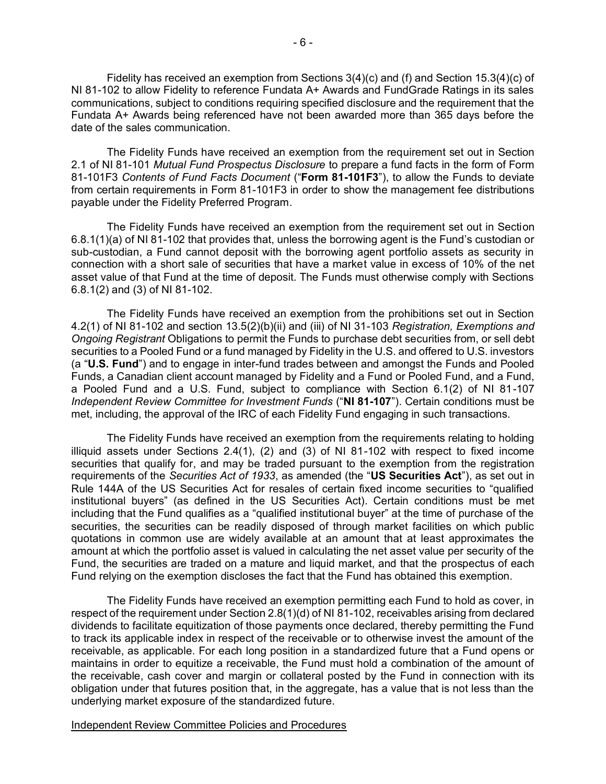Fidelity has received an exemption from Sections 3(4)(c) and (f) and Section 15.3(4)(c) of NI 81-102 to allow Fidelity to reference Fundata A+ Awards and FundGrade Ratings in its sales communications, subject to conditions requiring specified disclosure and the requirement that the Fundata A+ Awards being referenced have not been awarded more than 365 days before the date of the sales communication.

The Fidelity Funds have received an exemption from the requirement set out in Section 2.1 of NI 81-101 *Mutual Fund Prospectus Disclosure* to prepare a fund facts in the form of Form 81-101F3 *Contents of Fund Facts Document* ("**Form 81-101F3**"), to allow the Funds to deviate from certain requirements in Form 81-101F3 in order to show the management fee distributions payable under the Fidelity Preferred Program.

The Fidelity Funds have received an exemption from the requirement set out in Section 6.8.1(1)(a) of NI 81-102 that provides that, unless the borrowing agent is the Fund's custodian or sub-custodian, a Fund cannot deposit with the borrowing agent portfolio assets as security in connection with a short sale of securities that have a market value in excess of 10% of the net asset value of that Fund at the time of deposit. The Funds must otherwise comply with Sections 6.8.1(2) and (3) of NI 81-102.

The Fidelity Funds have received an exemption from the prohibitions set out in Section 4.2(1) of NI 81-102 and section 13.5(2)(b)(ii) and (iii) of NI 31-103 *Registration, Exemptions and Ongoing Registrant* Obligations to permit the Funds to purchase debt securities from, or sell debt securities to a Pooled Fund or a fund managed by Fidelity in the U.S. and offered to U.S. investors (a "**U.S. Fund**") and to engage in inter-fund trades between and amongst the Funds and Pooled Funds, a Canadian client account managed by Fidelity and a Fund or Pooled Fund, and a Fund, a Pooled Fund and a U.S. Fund, subject to compliance with Section 6.1(2) of NI 81-107 *Independent Review Committee for Investment Funds* ("**NI 81-107**"). Certain conditions must be met, including, the approval of the IRC of each Fidelity Fund engaging in such transactions.

The Fidelity Funds have received an exemption from the requirements relating to holding illiquid assets under Sections 2.4(1), (2) and (3) of NI 81-102 with respect to fixed income securities that qualify for, and may be traded pursuant to the exemption from the registration requirements of the *Securities Act of 1933*, as amended (the "**US Securities Act**"), as set out in Rule 144A of the US Securities Act for resales of certain fixed income securities to "qualified institutional buyers" (as defined in the US Securities Act). Certain conditions must be met including that the Fund qualifies as a "qualified institutional buyer" at the time of purchase of the securities, the securities can be readily disposed of through market facilities on which public quotations in common use are widely available at an amount that at least approximates the amount at which the portfolio asset is valued in calculating the net asset value per security of the Fund, the securities are traded on a mature and liquid market, and that the prospectus of each Fund relying on the exemption discloses the fact that the Fund has obtained this exemption.

The Fidelity Funds have received an exemption permitting each Fund to hold as cover, in respect of the requirement under Section 2.8(1)(d) of NI 81-102, receivables arising from declared dividends to facilitate equitization of those payments once declared, thereby permitting the Fund to track its applicable index in respect of the receivable or to otherwise invest the amount of the receivable, as applicable. For each long position in a standardized future that a Fund opens or maintains in order to equitize a receivable, the Fund must hold a combination of the amount of the receivable, cash cover and margin or collateral posted by the Fund in connection with its obligation under that futures position that, in the aggregate, has a value that is not less than the underlying market exposure of the standardized future.

Independent Review Committee Policies and Procedures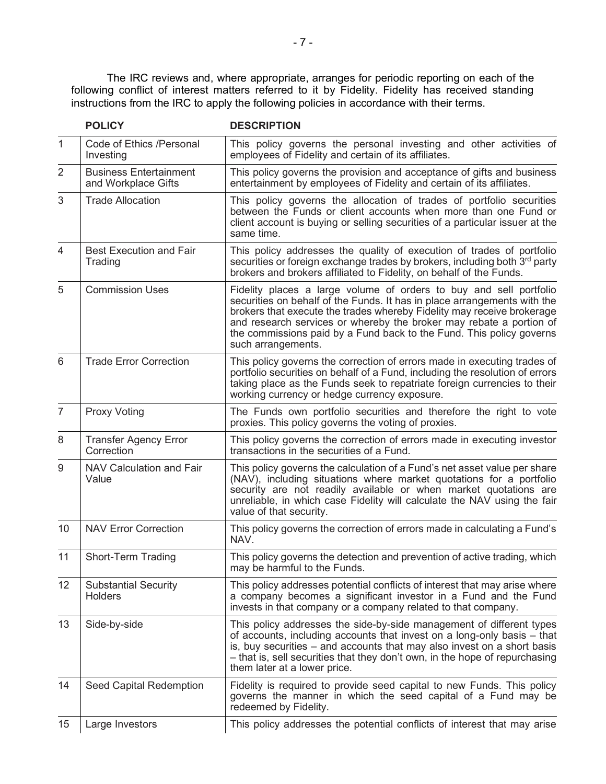The IRC reviews and, where appropriate, arranges for periodic reporting on each of the following conflict of interest matters referred to it by Fidelity. Fidelity has received standing instructions from the IRC to apply the following policies in accordance with their terms.

| $\mathbf{1}$    | Code of Ethics /Personal<br>Investing                | This policy governs the personal investing and other activities of<br>employees of Fidelity and certain of its affiliates.                                                                                                                                                                                                                                                                    |
|-----------------|------------------------------------------------------|-----------------------------------------------------------------------------------------------------------------------------------------------------------------------------------------------------------------------------------------------------------------------------------------------------------------------------------------------------------------------------------------------|
| 2               | <b>Business Entertainment</b><br>and Workplace Gifts | This policy governs the provision and acceptance of gifts and business<br>entertainment by employees of Fidelity and certain of its affiliates.                                                                                                                                                                                                                                               |
| 3               | <b>Trade Allocation</b>                              | This policy governs the allocation of trades of portfolio securities<br>between the Funds or client accounts when more than one Fund or<br>client account is buying or selling securities of a particular issuer at the<br>same time.                                                                                                                                                         |
| 4               | <b>Best Execution and Fair</b><br>Trading            | This policy addresses the quality of execution of trades of portfolio<br>securities or foreign exchange trades by brokers, including both 3rd party<br>brokers and brokers affiliated to Fidelity, on behalf of the Funds.                                                                                                                                                                    |
| 5               | <b>Commission Uses</b>                               | Fidelity places a large volume of orders to buy and sell portfolio<br>securities on behalf of the Funds. It has in place arrangements with the<br>brokers that execute the trades whereby Fidelity may receive brokerage<br>and research services or whereby the broker may rebate a portion of<br>the commissions paid by a Fund back to the Fund. This policy governs<br>such arrangements. |
| 6               | <b>Trade Error Correction</b>                        | This policy governs the correction of errors made in executing trades of<br>portfolio securities on behalf of a Fund, including the resolution of errors<br>taking place as the Funds seek to repatriate foreign currencies to their<br>working currency or hedge currency exposure.                                                                                                          |
| 7               | <b>Proxy Voting</b>                                  | The Funds own portfolio securities and therefore the right to vote<br>proxies. This policy governs the voting of proxies.                                                                                                                                                                                                                                                                     |
| 8               | <b>Transfer Agency Error</b><br>Correction           | This policy governs the correction of errors made in executing investor<br>transactions in the securities of a Fund.                                                                                                                                                                                                                                                                          |
| 9               | NAV Calculation and Fair<br>Value                    | This policy governs the calculation of a Fund's net asset value per share<br>(NAV), including situations where market quotations for a portfolio<br>security are not readily available or when market quotations are<br>unreliable, in which case Fidelity will calculate the NAV using the fair<br>value of that security.                                                                   |
| 10 <sup>°</sup> | <b>NAV Error Correction</b>                          | This policy governs the correction of errors made in calculating a Fund's<br>NAV.                                                                                                                                                                                                                                                                                                             |
| 11              | Short-Term Trading                                   | This policy governs the detection and prevention of active trading, which<br>may be harmful to the Funds.                                                                                                                                                                                                                                                                                     |
| 12              | <b>Substantial Security</b><br><b>Holders</b>        | This policy addresses potential conflicts of interest that may arise where<br>a company becomes a significant investor in a Fund and the Fund<br>invests in that company or a company related to that company.                                                                                                                                                                                |
| 13              | Side-by-side                                         | This policy addresses the side-by-side management of different types<br>of accounts, including accounts that invest on a long-only basis – that<br>is, buy securities – and accounts that may also invest on a short basis<br>- that is, sell securities that they don't own, in the hope of repurchasing<br>them later at a lower price.                                                     |
| 14              | Seed Capital Redemption                              | Fidelity is required to provide seed capital to new Funds. This policy<br>governs the manner in which the seed capital of a Fund may be<br>redeemed by Fidelity.                                                                                                                                                                                                                              |
| 15              | Large Investors                                      | This policy addresses the potential conflicts of interest that may arise                                                                                                                                                                                                                                                                                                                      |

**POLICY DESCRIPTION**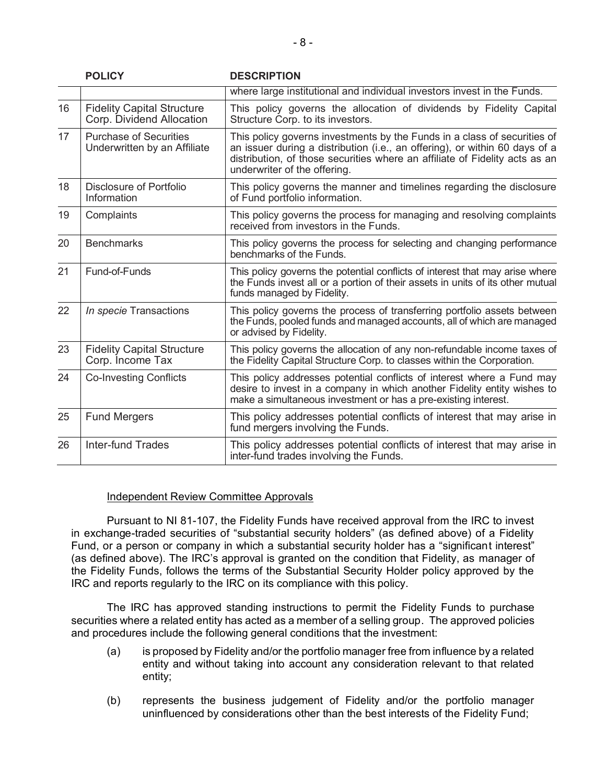|    | <b>POLICY</b>                                                  | <b>DESCRIPTION</b>                                                                                                                                                                                                                                                     |
|----|----------------------------------------------------------------|------------------------------------------------------------------------------------------------------------------------------------------------------------------------------------------------------------------------------------------------------------------------|
|    |                                                                | where large institutional and individual investors invest in the Funds.                                                                                                                                                                                                |
| 16 | <b>Fidelity Capital Structure</b><br>Corp. Dividend Allocation | This policy governs the allocation of dividends by Fidelity Capital<br>Structure Corp. to its investors.                                                                                                                                                               |
| 17 | <b>Purchase of Securities</b><br>Underwritten by an Affiliate  | This policy governs investments by the Funds in a class of securities of<br>an issuer during a distribution (i.e., an offering), or within 60 days of a<br>distribution, of those securities where an affiliate of Fidelity acts as an<br>underwriter of the offering. |
| 18 | Disclosure of Portfolio<br>Information                         | This policy governs the manner and timelines regarding the disclosure<br>of Fund portfolio information.                                                                                                                                                                |
| 19 | Complaints                                                     | This policy governs the process for managing and resolving complaints<br>received from investors in the Funds.                                                                                                                                                         |
| 20 | <b>Benchmarks</b>                                              | This policy governs the process for selecting and changing performance<br>benchmarks of the Funds.                                                                                                                                                                     |
| 21 | Fund-of-Funds                                                  | This policy governs the potential conflicts of interest that may arise where<br>the Funds invest all or a portion of their assets in units of its other mutual<br>funds managed by Fidelity.                                                                           |
| 22 | In specie Transactions                                         | This policy governs the process of transferring portfolio assets between<br>the Funds, pooled funds and managed accounts, all of which are managed<br>or advised by Fidelity.                                                                                          |
| 23 | <b>Fidelity Capital Structure</b><br>Corp. Income Tax          | This policy governs the allocation of any non-refundable income taxes of<br>the Fidelity Capital Structure Corp. to classes within the Corporation.                                                                                                                    |
| 24 | <b>Co-Investing Conflicts</b>                                  | This policy addresses potential conflicts of interest where a Fund may<br>desire to invest in a company in which another Fidelity entity wishes to<br>make a simultaneous investment or has a pre-existing interest.                                                   |
| 25 | <b>Fund Mergers</b>                                            | This policy addresses potential conflicts of interest that may arise in<br>fund mergers involving the Funds.                                                                                                                                                           |
| 26 | Inter-fund Trades                                              | This policy addresses potential conflicts of interest that may arise in<br>inter-fund trades involving the Funds.                                                                                                                                                      |

## Independent Review Committee Approvals

Pursuant to NI 81-107, the Fidelity Funds have received approval from the IRC to invest in exchange-traded securities of "substantial security holders" (as defined above) of a Fidelity Fund, or a person or company in which a substantial security holder has a "significant interest" (as defined above). The IRC's approval is granted on the condition that Fidelity, as manager of the Fidelity Funds, follows the terms of the Substantial Security Holder policy approved by the IRC and reports regularly to the IRC on its compliance with this policy.

The IRC has approved standing instructions to permit the Fidelity Funds to purchase securities where a related entity has acted as a member of a selling group. The approved policies and procedures include the following general conditions that the investment:

- (a) is proposed by Fidelity and/or the portfolio manager free from influence by a related entity and without taking into account any consideration relevant to that related entity;
- (b) represents the business judgement of Fidelity and/or the portfolio manager uninfluenced by considerations other than the best interests of the Fidelity Fund;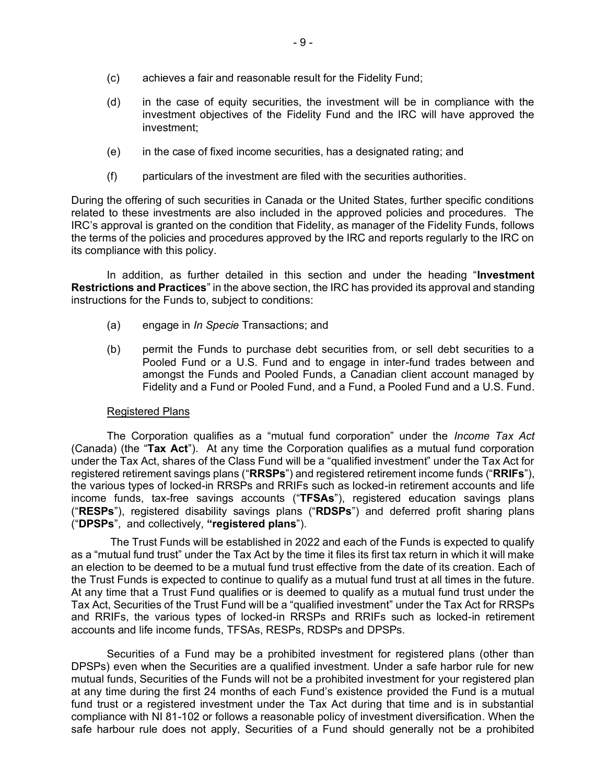- (c) achieves a fair and reasonable result for the Fidelity Fund;
- (d) in the case of equity securities, the investment will be in compliance with the investment objectives of the Fidelity Fund and the IRC will have approved the investment;
- (e) in the case of fixed income securities, has a designated rating; and
- (f) particulars of the investment are filed with the securities authorities.

During the offering of such securities in Canada or the United States, further specific conditions related to these investments are also included in the approved policies and procedures. The IRC's approval is granted on the condition that Fidelity, as manager of the Fidelity Funds, follows the terms of the policies and procedures approved by the IRC and reports regularly to the IRC on its compliance with this policy.

In addition, as further detailed in this section and under the heading "**Investment Restrictions and Practices**" in the above section, the IRC has provided its approval and standing instructions for the Funds to, subject to conditions:

- (a) engage in *In Specie* Transactions; and
- (b) permit the Funds to purchase debt securities from, or sell debt securities to a Pooled Fund or a U.S. Fund and to engage in inter-fund trades between and amongst the Funds and Pooled Funds, a Canadian client account managed by Fidelity and a Fund or Pooled Fund, and a Fund, a Pooled Fund and a U.S. Fund.

## Registered Plans

The Corporation qualifies as a "mutual fund corporation" under the *Income Tax Act* (Canada) (the "**Tax Act**"). At any time the Corporation qualifies as a mutual fund corporation under the Tax Act, shares of the Class Fund will be a "qualified investment" under the Tax Act for registered retirement savings plans ("**RRSPs**") and registered retirement income funds ("**RRIFs**"), the various types of locked-in RRSPs and RRIFs such as locked-in retirement accounts and life income funds, tax-free savings accounts ("**TFSAs**"), registered education savings plans ("**RESPs**"), registered disability savings plans ("**RDSPs**") and deferred profit sharing plans ("**DPSPs**", and collectively, **"registered plans**").

The Trust Funds will be established in 2022 and each of the Funds is expected to qualify as a "mutual fund trust" under the Tax Act by the time it files its first tax return in which it will make an election to be deemed to be a mutual fund trust effective from the date of its creation. Each of the Trust Funds is expected to continue to qualify as a mutual fund trust at all times in the future. At any time that a Trust Fund qualifies or is deemed to qualify as a mutual fund trust under the Tax Act, Securities of the Trust Fund will be a "qualified investment" under the Tax Act for RRSPs and RRIFs, the various types of locked-in RRSPs and RRIFs such as locked-in retirement accounts and life income funds, TFSAs, RESPs, RDSPs and DPSPs.

Securities of a Fund may be a prohibited investment for registered plans (other than DPSPs) even when the Securities are a qualified investment. Under a safe harbor rule for new mutual funds, Securities of the Funds will not be a prohibited investment for your registered plan at any time during the first 24 months of each Fund's existence provided the Fund is a mutual fund trust or a registered investment under the Tax Act during that time and is in substantial compliance with NI 81-102 or follows a reasonable policy of investment diversification. When the safe harbour rule does not apply, Securities of a Fund should generally not be a prohibited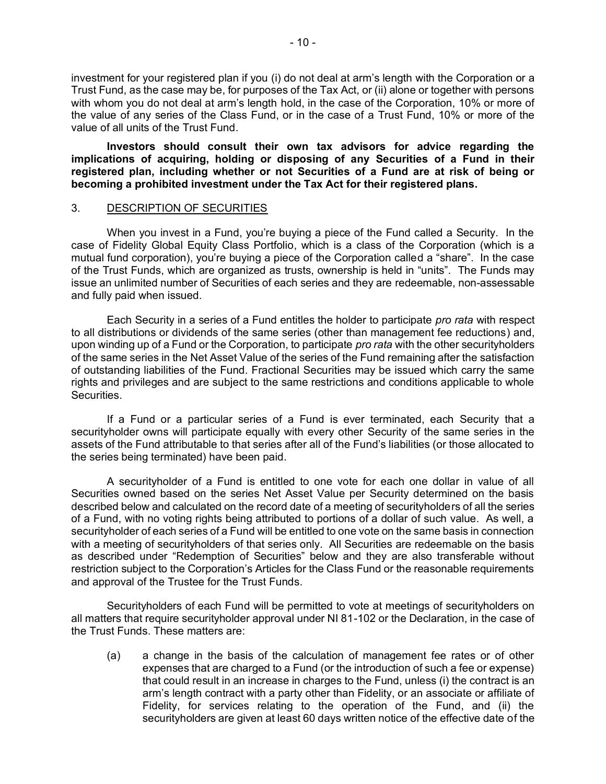investment for your registered plan if you (i) do not deal at arm's length with the Corporation or a Trust Fund, as the case may be, for purposes of the Tax Act, or (ii) alone or together with persons with whom you do not deal at arm's length hold, in the case of the Corporation, 10% or more of the value of any series of the Class Fund, or in the case of a Trust Fund, 10% or more of the value of all units of the Trust Fund.

**Investors should consult their own tax advisors for advice regarding the implications of acquiring, holding or disposing of any Securities of a Fund in their registered plan, including whether or not Securities of a Fund are at risk of being or becoming a prohibited investment under the Tax Act for their registered plans.**

## <span id="page-11-0"></span>3. DESCRIPTION OF SECURITIES

When you invest in a Fund, you're buying a piece of the Fund called a Security. In the case of Fidelity Global Equity Class Portfolio, which is a class of the Corporation (which is a mutual fund corporation), you're buying a piece of the Corporation called a "share". In the case of the Trust Funds, which are organized as trusts, ownership is held in "units". The Funds may issue an unlimited number of Securities of each series and they are redeemable, non-assessable and fully paid when issued.

Each Security in a series of a Fund entitles the holder to participate *pro rata* with respect to all distributions or dividends of the same series (other than management fee reductions) and, upon winding up of a Fund or the Corporation, to participate *pro rata* with the other securityholders of the same series in the Net Asset Value of the series of the Fund remaining after the satisfaction of outstanding liabilities of the Fund. Fractional Securities may be issued which carry the same rights and privileges and are subject to the same restrictions and conditions applicable to whole Securities.

If a Fund or a particular series of a Fund is ever terminated, each Security that a securityholder owns will participate equally with every other Security of the same series in the assets of the Fund attributable to that series after all of the Fund's liabilities (or those allocated to the series being terminated) have been paid.

A securityholder of a Fund is entitled to one vote for each one dollar in value of all Securities owned based on the series Net Asset Value per Security determined on the basis described below and calculated on the record date of a meeting of securityholders of all the series of a Fund, with no voting rights being attributed to portions of a dollar of such value. As well, a securityholder of each series of a Fund will be entitled to one vote on the same basis in connection with a meeting of securityholders of that series only. All Securities are redeemable on the basis as described under "Redemption of Securities" below and they are also transferable without restriction subject to the Corporation's Articles for the Class Fund or the reasonable requirements and approval of the Trustee for the Trust Funds.

Securityholders of each Fund will be permitted to vote at meetings of securityholders on all matters that require securityholder approval under NI 81-102 or the Declaration, in the case of the Trust Funds. These matters are:

(a) a change in the basis of the calculation of management fee rates or of other expenses that are charged to a Fund (or the introduction of such a fee or expense) that could result in an increase in charges to the Fund, unless (i) the contract is an arm's length contract with a party other than Fidelity, or an associate or affiliate of Fidelity, for services relating to the operation of the Fund, and (ii) the securityholders are given at least 60 days written notice of the effective date of the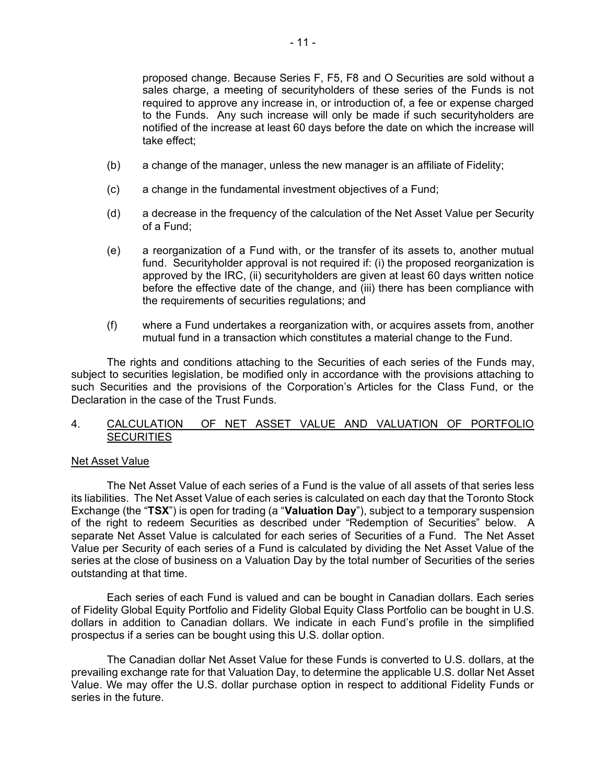proposed change. Because Series F, F5, F8 and O Securities are sold without a sales charge, a meeting of securityholders of these series of the Funds is not required to approve any increase in, or introduction of, a fee or expense charged to the Funds. Any such increase will only be made if such securityholders are notified of the increase at least 60 days before the date on which the increase will take effect;

- (b) a change of the manager, unless the new manager is an affiliate of Fidelity;
- (c) a change in the fundamental investment objectives of a Fund;
- (d) a decrease in the frequency of the calculation of the Net Asset Value per Security of a Fund;
- (e) a reorganization of a Fund with, or the transfer of its assets to, another mutual fund. Securityholder approval is not required if: (i) the proposed reorganization is approved by the IRC, (ii) securityholders are given at least 60 days written notice before the effective date of the change, and (iii) there has been compliance with the requirements of securities regulations; and
- (f) where a Fund undertakes a reorganization with, or acquires assets from, another mutual fund in a transaction which constitutes a material change to the Fund.

The rights and conditions attaching to the Securities of each series of the Funds may, subject to securities legislation, be modified only in accordance with the provisions attaching to such Securities and the provisions of the Corporation's Articles for the Class Fund, or the Declaration in the case of the Trust Funds.

## <span id="page-12-0"></span>4. CALCULATION OF NET ASSET VALUE AND VALUATION OF PORTFOLIO **SECURITIES**

#### Net Asset Value

The Net Asset Value of each series of a Fund is the value of all assets of that series less its liabilities. The Net Asset Value of each series is calculated on each day that the Toronto Stock Exchange (the "**TSX**") is open for trading (a "**Valuation Day**"), subject to a temporary suspension of the right to redeem Securities as described under "Redemption of Securities" below. A separate Net Asset Value is calculated for each series of Securities of a Fund. The Net Asset Value per Security of each series of a Fund is calculated by dividing the Net Asset Value of the series at the close of business on a Valuation Day by the total number of Securities of the series outstanding at that time.

Each series of each Fund is valued and can be bought in Canadian dollars. Each series of Fidelity Global Equity Portfolio and Fidelity Global Equity Class Portfolio can be bought in U.S. dollars in addition to Canadian dollars. We indicate in each Fund's profile in the simplified prospectus if a series can be bought using this U.S. dollar option.

The Canadian dollar Net Asset Value for these Funds is converted to U.S. dollars, at the prevailing exchange rate for that Valuation Day, to determine the applicable U.S. dollar Net Asset Value. We may offer the U.S. dollar purchase option in respect to additional Fidelity Funds or series in the future.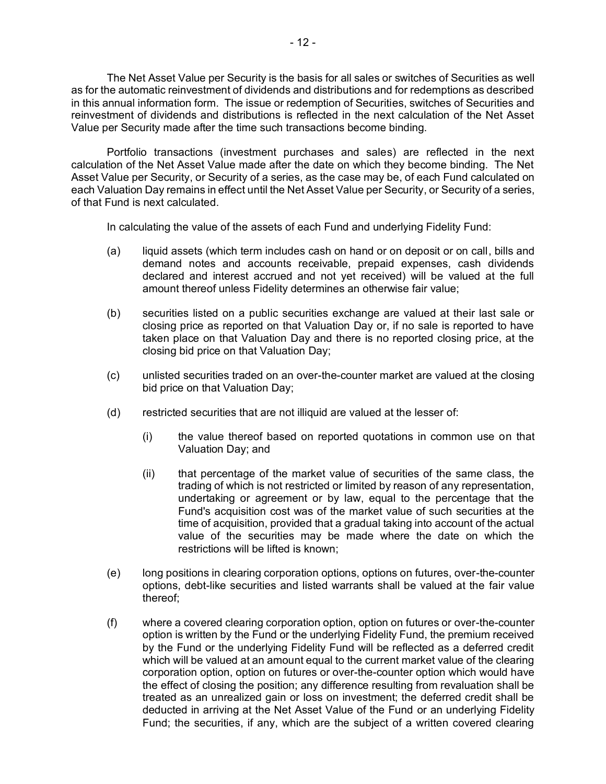The Net Asset Value per Security is the basis for all sales or switches of Securities as well as for the automatic reinvestment of dividends and distributions and for redemptions as described in this annual information form. The issue or redemption of Securities, switches of Securities and reinvestment of dividends and distributions is reflected in the next calculation of the Net Asset Value per Security made after the time such transactions become binding.

Portfolio transactions (investment purchases and sales) are reflected in the next calculation of the Net Asset Value made after the date on which they become binding. The Net Asset Value per Security, or Security of a series, as the case may be, of each Fund calculated on each Valuation Day remains in effect until the Net Asset Value per Security, or Security of a series, of that Fund is next calculated.

In calculating the value of the assets of each Fund and underlying Fidelity Fund:

- (a) liquid assets (which term includes cash on hand or on deposit or on call, bills and demand notes and accounts receivable, prepaid expenses, cash dividends declared and interest accrued and not yet received) will be valued at the full amount thereof unless Fidelity determines an otherwise fair value;
- (b) securities listed on a public securities exchange are valued at their last sale or closing price as reported on that Valuation Day or, if no sale is reported to have taken place on that Valuation Day and there is no reported closing price, at the closing bid price on that Valuation Day;
- (c) unlisted securities traded on an over-the-counter market are valued at the closing bid price on that Valuation Day;
- (d) restricted securities that are not illiquid are valued at the lesser of:
	- (i) the value thereof based on reported quotations in common use on that Valuation Day; and
	- (ii) that percentage of the market value of securities of the same class, the trading of which is not restricted or limited by reason of any representation, undertaking or agreement or by law, equal to the percentage that the Fund's acquisition cost was of the market value of such securities at the time of acquisition, provided that a gradual taking into account of the actual value of the securities may be made where the date on which the restrictions will be lifted is known;
- (e) long positions in clearing corporation options, options on futures, over-the-counter options, debt-like securities and listed warrants shall be valued at the fair value thereof;
- (f) where a covered clearing corporation option, option on futures or over-the-counter option is written by the Fund or the underlying Fidelity Fund, the premium received by the Fund or the underlying Fidelity Fund will be reflected as a deferred credit which will be valued at an amount equal to the current market value of the clearing corporation option, option on futures or over-the-counter option which would have the effect of closing the position; any difference resulting from revaluation shall be treated as an unrealized gain or loss on investment; the deferred credit shall be deducted in arriving at the Net Asset Value of the Fund or an underlying Fidelity Fund; the securities, if any, which are the subject of a written covered clearing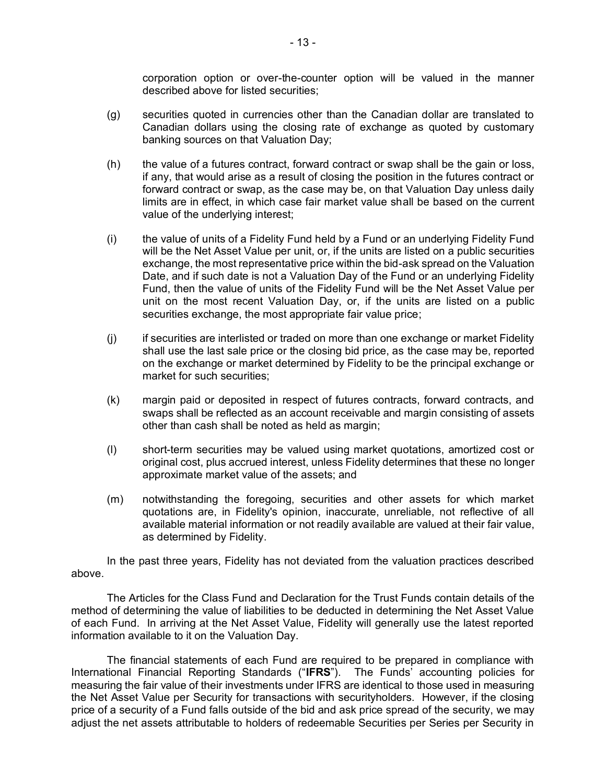corporation option or over-the-counter option will be valued in the manner described above for listed securities;

- (g) securities quoted in currencies other than the Canadian dollar are translated to Canadian dollars using the closing rate of exchange as quoted by customary banking sources on that Valuation Day;
- (h) the value of a futures contract, forward contract or swap shall be the gain or loss, if any, that would arise as a result of closing the position in the futures contract or forward contract or swap, as the case may be, on that Valuation Day unless daily limits are in effect, in which case fair market value shall be based on the current value of the underlying interest;
- (i) the value of units of a Fidelity Fund held by a Fund or an underlying Fidelity Fund will be the Net Asset Value per unit, or, if the units are listed on a public securities exchange, the most representative price within the bid-ask spread on the Valuation Date, and if such date is not a Valuation Day of the Fund or an underlying Fidelity Fund, then the value of units of the Fidelity Fund will be the Net Asset Value per unit on the most recent Valuation Day, or, if the units are listed on a public securities exchange, the most appropriate fair value price;
- (j) if securities are interlisted or traded on more than one exchange or market Fidelity shall use the last sale price or the closing bid price, as the case may be, reported on the exchange or market determined by Fidelity to be the principal exchange or market for such securities;
- (k) margin paid or deposited in respect of futures contracts, forward contracts, and swaps shall be reflected as an account receivable and margin consisting of assets other than cash shall be noted as held as margin;
- (l) short-term securities may be valued using market quotations, amortized cost or original cost, plus accrued interest, unless Fidelity determines that these no longer approximate market value of the assets; and
- (m) notwithstanding the foregoing, securities and other assets for which market quotations are, in Fidelity's opinion, inaccurate, unreliable, not reflective of all available material information or not readily available are valued at their fair value, as determined by Fidelity.

In the past three years, Fidelity has not deviated from the valuation practices described above.

The Articles for the Class Fund and Declaration for the Trust Funds contain details of the method of determining the value of liabilities to be deducted in determining the Net Asset Value of each Fund. In arriving at the Net Asset Value, Fidelity will generally use the latest reported information available to it on the Valuation Day.

The financial statements of each Fund are required to be prepared in compliance with International Financial Reporting Standards ("**IFRS**"). The Funds' accounting policies for measuring the fair value of their investments under IFRS are identical to those used in measuring the Net Asset Value per Security for transactions with securityholders. However, if the closing price of a security of a Fund falls outside of the bid and ask price spread of the security, we may adjust the net assets attributable to holders of redeemable Securities per Series per Security in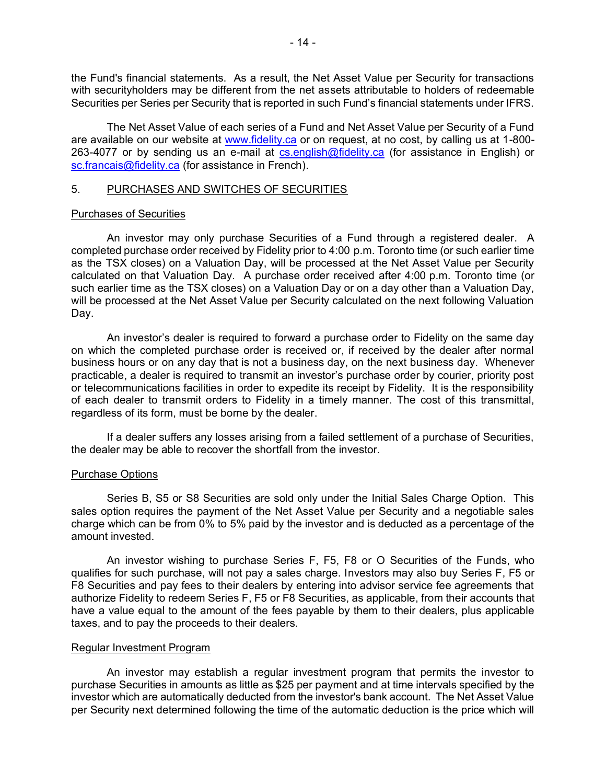the Fund's financial statements. As a result, the Net Asset Value per Security for transactions with securityholders may be different from the net assets attributable to holders of redeemable Securities per Series per Security that is reported in such Fund's financial statements under IFRS.

The Net Asset Value of each series of a Fund and Net Asset Value per Security of a Fund are available on our website at [www.fidelity.ca](http://www.fidelity.ca/) or on request, at no cost, by calling us at 1-800 263-4077 or by sending us an e-mail at [cs.english@fidelity.ca](mailto:cs.english@fidelity.ca) (for assistance in English) or [sc.francais@fidelity.ca](mailto:sc.francais@fidelity.ca) (for assistance in French).

## <span id="page-15-0"></span>5. PURCHASES AND SWITCHES OF SECURITIES

## Purchases of Securities

An investor may only purchase Securities of a Fund through a registered dealer. A completed purchase order received by Fidelity prior to 4:00 p.m. Toronto time (or such earlier time as the TSX closes) on a Valuation Day, will be processed at the Net Asset Value per Security calculated on that Valuation Day. A purchase order received after 4:00 p.m. Toronto time (or such earlier time as the TSX closes) on a Valuation Day or on a day other than a Valuation Day, will be processed at the Net Asset Value per Security calculated on the next following Valuation Day.

An investor's dealer is required to forward a purchase order to Fidelity on the same day on which the completed purchase order is received or, if received by the dealer after normal business hours or on any day that is not a business day, on the next business day. Whenever practicable, a dealer is required to transmit an investor's purchase order by courier, priority post or telecommunications facilities in order to expedite its receipt by Fidelity. It is the responsibility of each dealer to transmit orders to Fidelity in a timely manner. The cost of this transmittal, regardless of its form, must be borne by the dealer.

If a dealer suffers any losses arising from a failed settlement of a purchase of Securities, the dealer may be able to recover the shortfall from the investor.

## Purchase Options

Series B, S5 or S8 Securities are sold only under the Initial Sales Charge Option. This sales option requires the payment of the Net Asset Value per Security and a negotiable sales charge which can be from 0% to 5% paid by the investor and is deducted as a percentage of the amount invested.

An investor wishing to purchase Series F, F5, F8 or O Securities of the Funds, who qualifies for such purchase, will not pay a sales charge. Investors may also buy Series F, F5 or F8 Securities and pay fees to their dealers by entering into advisor service fee agreements that authorize Fidelity to redeem Series F, F5 or F8 Securities, as applicable, from their accounts that have a value equal to the amount of the fees payable by them to their dealers, plus applicable taxes, and to pay the proceeds to their dealers.

#### Regular Investment Program

An investor may establish a regular investment program that permits the investor to purchase Securities in amounts as little as \$25 per payment and at time intervals specified by the investor which are automatically deducted from the investor's bank account. The Net Asset Value per Security next determined following the time of the automatic deduction is the price which will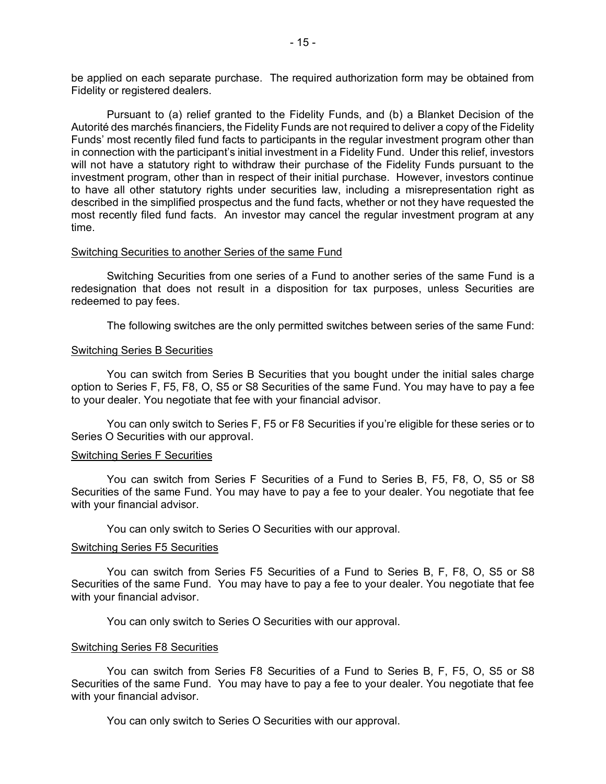be applied on each separate purchase. The required authorization form may be obtained from Fidelity or registered dealers.

Pursuant to (a) relief granted to the Fidelity Funds, and (b) a Blanket Decision of the Autorité des marchés financiers, the Fidelity Funds are not required to deliver a copy of the Fidelity Funds' most recently filed fund facts to participants in the regular investment program other than in connection with the participant's initial investment in a Fidelity Fund. Under this relief, investors will not have a statutory right to withdraw their purchase of the Fidelity Funds pursuant to the investment program, other than in respect of their initial purchase. However, investors continue to have all other statutory rights under securities law, including a misrepresentation right as described in the simplified prospectus and the fund facts, whether or not they have requested the most recently filed fund facts. An investor may cancel the regular investment program at any time.

#### Switching Securities to another Series of the same Fund

Switching Securities from one series of a Fund to another series of the same Fund is a redesignation that does not result in a disposition for tax purposes, unless Securities are redeemed to pay fees.

The following switches are the only permitted switches between series of the same Fund:

#### Switching Series B Securities

You can switch from Series B Securities that you bought under the initial sales charge option to Series F, F5, F8, O, S5 or S8 Securities of the same Fund. You may have to pay a fee to your dealer. You negotiate that fee with your financial advisor.

You can only switch to Series F, F5 or F8 Securities if you're eligible for these series or to Series O Securities with our approval.

#### Switching Series F Securities

You can switch from Series F Securities of a Fund to Series B, F5, F8, O, S5 or S8 Securities of the same Fund. You may have to pay a fee to your dealer. You negotiate that fee with your financial advisor.

You can only switch to Series O Securities with our approval.

#### Switching Series F5 Securities

You can switch from Series F5 Securities of a Fund to Series B, F, F8, O, S5 or S8 Securities of the same Fund. You may have to pay a fee to your dealer. You negotiate that fee with your financial advisor.

You can only switch to Series O Securities with our approval.

#### Switching Series F8 Securities

You can switch from Series F8 Securities of a Fund to Series B, F, F5, O, S5 or S8 Securities of the same Fund. You may have to pay a fee to your dealer. You negotiate that fee with your financial advisor.

You can only switch to Series O Securities with our approval.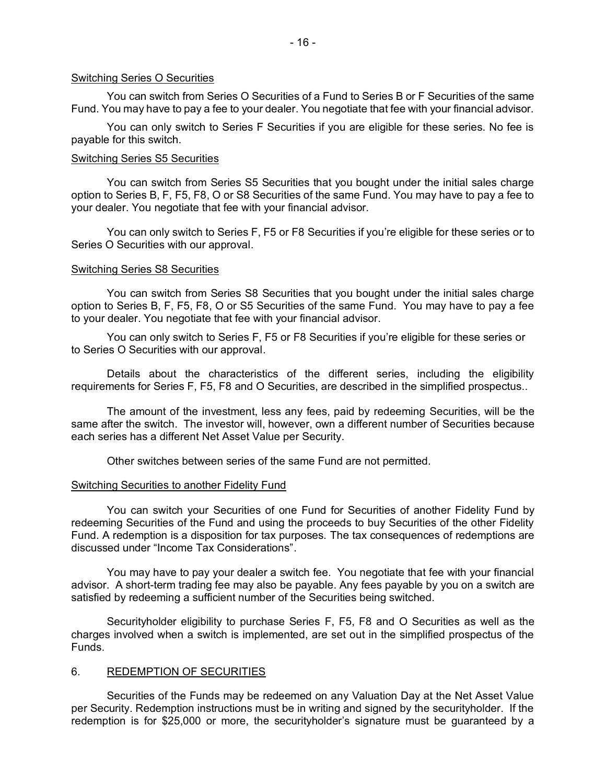#### Switching Series O Securities

You can switch from Series O Securities of a Fund to Series B or F Securities of the same Fund. You may have to pay a fee to your dealer. You negotiate that fee with your financial advisor.

You can only switch to Series F Securities if you are eligible for these series. No fee is payable for this switch.

#### Switching Series S5 Securities

You can switch from Series S5 Securities that you bought under the initial sales charge option to Series B, F, F5, F8, O or S8 Securities of the same Fund. You may have to pay a fee to your dealer. You negotiate that fee with your financial advisor.

You can only switch to Series F, F5 or F8 Securities if you're eligible for these series or to Series O Securities with our approval.

#### Switching Series S8 Securities

You can switch from Series S8 Securities that you bought under the initial sales charge option to Series B, F, F5, F8, O or S5 Securities of the same Fund. You may have to pay a fee to your dealer. You negotiate that fee with your financial advisor.

You can only switch to Series F, F5 or F8 Securities if you're eligible for these series or to Series O Securities with our approval.

Details about the characteristics of the different series, including the eligibility requirements for Series F, F5, F8 and O Securities, are described in the simplified prospectus..

The amount of the investment, less any fees, paid by redeeming Securities, will be the same after the switch. The investor will, however, own a different number of Securities because each series has a different Net Asset Value per Security.

Other switches between series of the same Fund are not permitted.

#### Switching Securities to another Fidelity Fund

You can switch your Securities of one Fund for Securities of another Fidelity Fund by redeeming Securities of the Fund and using the proceeds to buy Securities of the other Fidelity Fund. A redemption is a disposition for tax purposes. The tax consequences of redemptions are discussed under "Income Tax Considerations".

You may have to pay your dealer a switch fee. You negotiate that fee with your financial advisor. A short-term trading fee may also be payable. Any fees payable by you on a switch are satisfied by redeeming a sufficient number of the Securities being switched.

Securityholder eligibility to purchase Series F, F5, F8 and O Securities as well as the charges involved when a switch is implemented, are set out in the simplified prospectus of the Funds.

#### <span id="page-17-0"></span>6. REDEMPTION OF SECURITIES

Securities of the Funds may be redeemed on any Valuation Day at the Net Asset Value per Security. Redemption instructions must be in writing and signed by the securityholder. If the redemption is for \$25,000 or more, the securityholder's signature must be guaranteed by a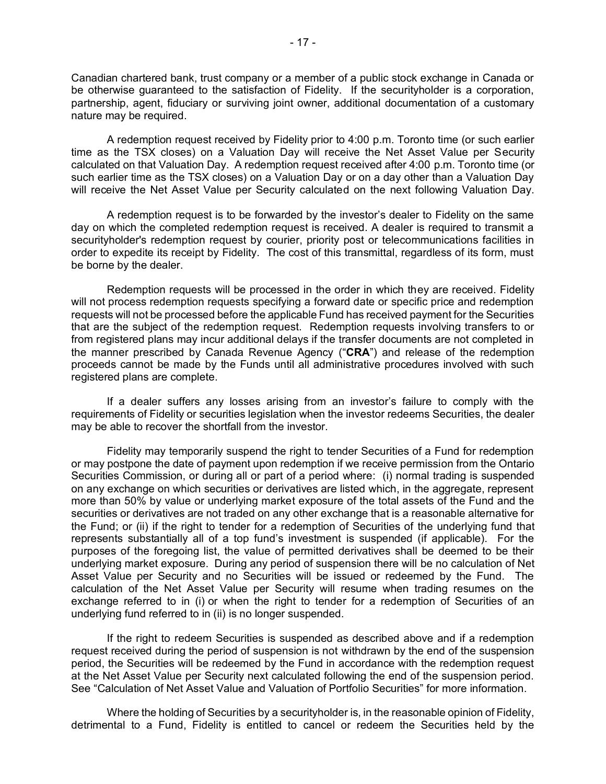Canadian chartered bank, trust company or a member of a public stock exchange in Canada or be otherwise guaranteed to the satisfaction of Fidelity. If the securityholder is a corporation, partnership, agent, fiduciary or surviving joint owner, additional documentation of a customary nature may be required.

A redemption request received by Fidelity prior to 4:00 p.m. Toronto time (or such earlier time as the TSX closes) on a Valuation Day will receive the Net Asset Value per Security calculated on that Valuation Day. A redemption request received after 4:00 p.m. Toronto time (or such earlier time as the TSX closes) on a Valuation Day or on a day other than a Valuation Day will receive the Net Asset Value per Security calculated on the next following Valuation Day.

A redemption request is to be forwarded by the investor's dealer to Fidelity on the same day on which the completed redemption request is received. A dealer is required to transmit a securityholder's redemption request by courier, priority post or telecommunications facilities in order to expedite its receipt by Fidelity. The cost of this transmittal, regardless of its form, must be borne by the dealer.

Redemption requests will be processed in the order in which they are received. Fidelity will not process redemption requests specifying a forward date or specific price and redemption requests will not be processed before the applicable Fund has received payment for the Securities that are the subject of the redemption request. Redemption requests involving transfers to or from registered plans may incur additional delays if the transfer documents are not completed in the manner prescribed by Canada Revenue Agency ("**CRA**") and release of the redemption proceeds cannot be made by the Funds until all administrative procedures involved with such registered plans are complete.

If a dealer suffers any losses arising from an investor's failure to comply with the requirements of Fidelity or securities legislation when the investor redeems Securities, the dealer may be able to recover the shortfall from the investor.

Fidelity may temporarily suspend the right to tender Securities of a Fund for redemption or may postpone the date of payment upon redemption if we receive permission from the Ontario Securities Commission, or during all or part of a period where: (i) normal trading is suspended on any exchange on which securities or derivatives are listed which, in the aggregate, represent more than 50% by value or underlying market exposure of the total assets of the Fund and the securities or derivatives are not traded on any other exchange that is a reasonable alternative for the Fund; or (ii) if the right to tender for a redemption of Securities of the underlying fund that represents substantially all of a top fund's investment is suspended (if applicable). For the purposes of the foregoing list, the value of permitted derivatives shall be deemed to be their underlying market exposure. During any period of suspension there will be no calculation of Net Asset Value per Security and no Securities will be issued or redeemed by the Fund. The calculation of the Net Asset Value per Security will resume when trading resumes on the exchange referred to in (i) or when the right to tender for a redemption of Securities of an underlying fund referred to in (ii) is no longer suspended.

If the right to redeem Securities is suspended as described above and if a redemption request received during the period of suspension is not withdrawn by the end of the suspension period, the Securities will be redeemed by the Fund in accordance with the redemption request at the Net Asset Value per Security next calculated following the end of the suspension period. See "Calculation of Net Asset Value and Valuation of Portfolio Securities" for more information.

Where the holding of Securities by a securityholder is, in the reasonable opinion of Fidelity, detrimental to a Fund, Fidelity is entitled to cancel or redeem the Securities held by the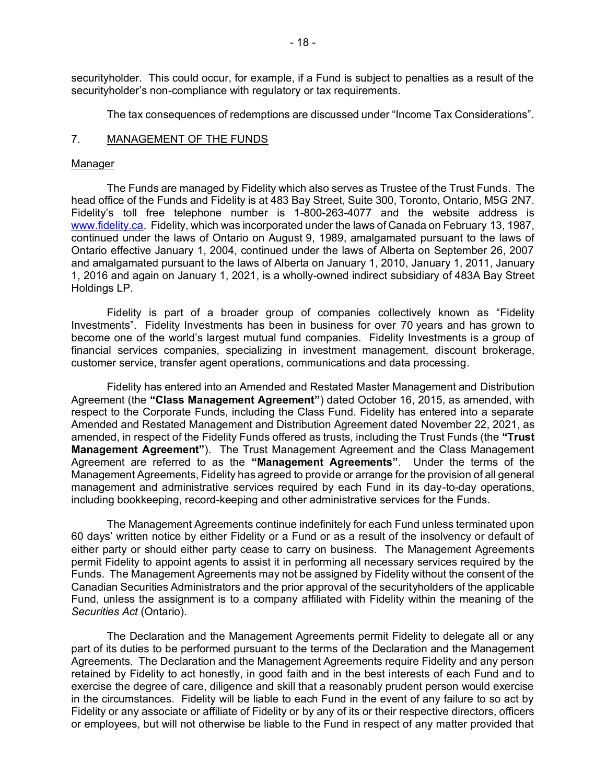securityholder. This could occur, for example, if a Fund is subject to penalties as a result of the securityholder's non-compliance with regulatory or tax requirements.

<span id="page-19-0"></span>The tax consequences of redemptions are discussed under "Income Tax Considerations".

## 7. MANAGEMENT OF THE FUNDS

## Manager

The Funds are managed by Fidelity which also serves as Trustee of the Trust Funds. The head office of the Funds and Fidelity is at 483 Bay Street, Suite 300, Toronto, Ontario, M5G 2N7. Fidelity's toll free telephone number is 1-800-263-4077 and the website address is [www.fidelity.ca.](file:///C:/Local/Microsoft/Windows/Temporary%20Internet%20Files/Content.Outlook/G31AEI00/www.fidelity.ca) Fidelity, which was incorporated under the laws of Canada on February 13, 1987, continued under the laws of Ontario on August 9, 1989, amalgamated pursuant to the laws of Ontario effective January 1, 2004, continued under the laws of Alberta on September 26, 2007 and amalgamated pursuant to the laws of Alberta on January 1, 2010, January 1, 2011, January 1, 2016 and again on January 1, 2021, is a wholly-owned indirect subsidiary of 483A Bay Street Holdings LP.

Fidelity is part of a broader group of companies collectively known as "Fidelity Investments". Fidelity Investments has been in business for over 70 years and has grown to become one of the world's largest mutual fund companies. Fidelity Investments is a group of financial services companies, specializing in investment management, discount brokerage, customer service, transfer agent operations, communications and data processing.

Fidelity has entered into an Amended and Restated Master Management and Distribution Agreement (the **"Class Management Agreement"**) dated October 16, 2015, as amended, with respect to the Corporate Funds, including the Class Fund. Fidelity has entered into a separate Amended and Restated Management and Distribution Agreement dated November 22, 2021, as amended, in respect of the Fidelity Funds offered as trusts, including the Trust Funds (the **"Trust Management Agreement"**). The Trust Management Agreement and the Class Management Agreement are referred to as the **"Management Agreements"**. Under the terms of the Management Agreements, Fidelity has agreed to provide or arrange for the provision of all general management and administrative services required by each Fund in its day-to-day operations, including bookkeeping, record-keeping and other administrative services for the Funds.

The Management Agreements continue indefinitely for each Fund unless terminated upon 60 days' written notice by either Fidelity or a Fund or as a result of the insolvency or default of either party or should either party cease to carry on business. The Management Agreements permit Fidelity to appoint agents to assist it in performing all necessary services required by the Funds. The Management Agreements may not be assigned by Fidelity without the consent of the Canadian Securities Administrators and the prior approval of the securityholders of the applicable Fund, unless the assignment is to a company affiliated with Fidelity within the meaning of the *Securities Act* (Ontario).

The Declaration and the Management Agreements permit Fidelity to delegate all or any part of its duties to be performed pursuant to the terms of the Declaration and the Management Agreements. The Declaration and the Management Agreements require Fidelity and any person retained by Fidelity to act honestly, in good faith and in the best interests of each Fund and to exercise the degree of care, diligence and skill that a reasonably prudent person would exercise in the circumstances. Fidelity will be liable to each Fund in the event of any failure to so act by Fidelity or any associate or affiliate of Fidelity or by any of its or their respective directors, officers or employees, but will not otherwise be liable to the Fund in respect of any matter provided that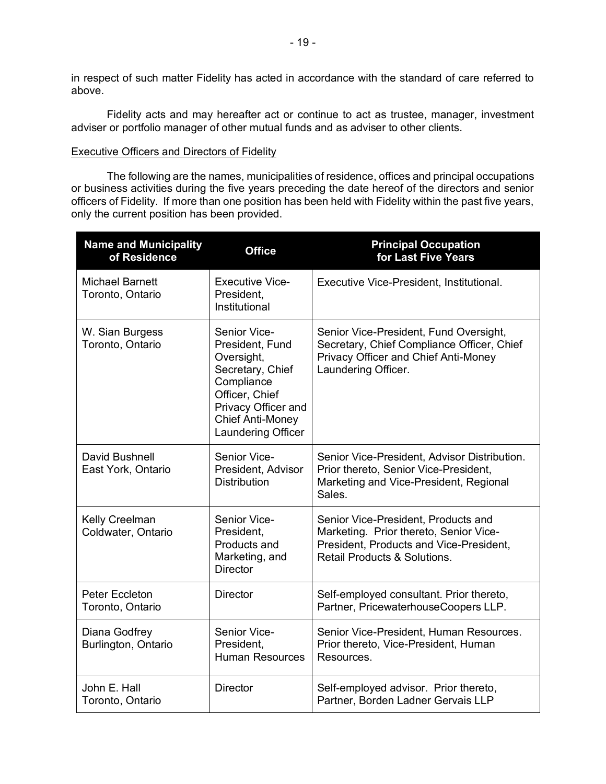in respect of such matter Fidelity has acted in accordance with the standard of care referred to above.

Fidelity acts and may hereafter act or continue to act as trustee, manager, investment adviser or portfolio manager of other mutual funds and as adviser to other clients.

## Executive Officers and Directors of Fidelity

The following are the names, municipalities of residence, offices and principal occupations or business activities during the five years preceding the date hereof of the directors and senior officers of Fidelity. If more than one position has been held with Fidelity within the past five years, only the current position has been provided.

| <b>Name and Municipality</b><br>of Residence | <b>Office</b>                                                                                                                                                             | <b>Principal Occupation</b><br>for Last Five Years                                                                                                       |  |
|----------------------------------------------|---------------------------------------------------------------------------------------------------------------------------------------------------------------------------|----------------------------------------------------------------------------------------------------------------------------------------------------------|--|
| <b>Michael Barnett</b><br>Toronto, Ontario   | <b>Executive Vice-</b><br>President.<br>Institutional                                                                                                                     | Executive Vice-President, Institutional.                                                                                                                 |  |
| W. Sian Burgess<br>Toronto, Ontario          | Senior Vice-<br>President, Fund<br>Oversight,<br>Secretary, Chief<br>Compliance<br>Officer, Chief<br>Privacy Officer and<br><b>Chief Anti-Money</b><br>Laundering Officer | Senior Vice-President, Fund Oversight,<br>Secretary, Chief Compliance Officer, Chief<br>Privacy Officer and Chief Anti-Money<br>Laundering Officer.      |  |
| David Bushnell<br>East York, Ontario         | Senior Vice-<br>President, Advisor<br><b>Distribution</b>                                                                                                                 | Senior Vice-President, Advisor Distribution.<br>Prior thereto, Senior Vice-President,<br>Marketing and Vice-President, Regional<br>Sales.                |  |
| Kelly Creelman<br>Coldwater, Ontario         | Senior Vice-<br>President.<br>Products and<br>Marketing, and<br><b>Director</b>                                                                                           | Senior Vice-President, Products and<br>Marketing. Prior thereto, Senior Vice-<br>President, Products and Vice-President,<br>Retail Products & Solutions. |  |
| Peter Eccleton<br>Toronto, Ontario           | <b>Director</b>                                                                                                                                                           | Self-employed consultant. Prior thereto,<br>Partner, PricewaterhouseCoopers LLP.                                                                         |  |
| Diana Godfrey<br>Burlington, Ontario         | Senior Vice-<br>President.<br><b>Human Resources</b>                                                                                                                      | Senior Vice-President, Human Resources.<br>Prior thereto, Vice-President, Human<br>Resources.                                                            |  |
| John E. Hall<br>Toronto, Ontario             | <b>Director</b>                                                                                                                                                           | Self-employed advisor. Prior thereto,<br>Partner, Borden Ladner Gervais LLP                                                                              |  |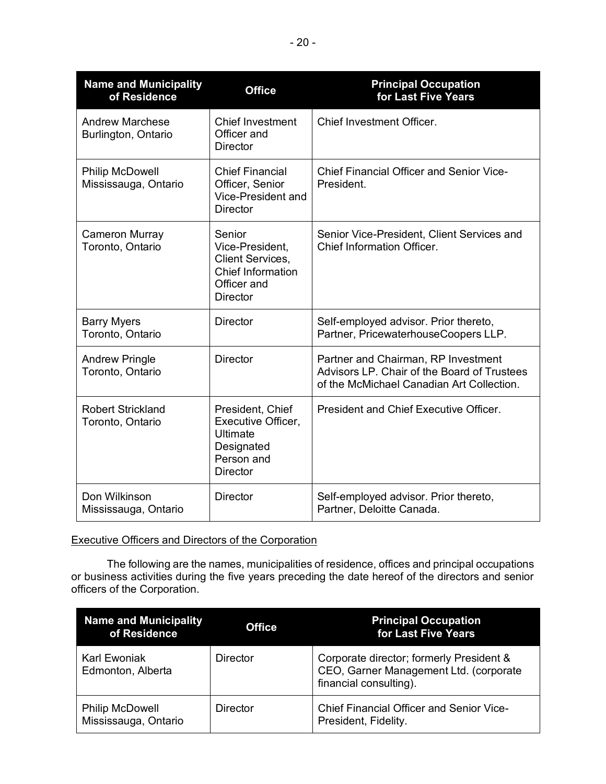| <b>Name and Municipality</b><br>of Residence   | <b>Office</b>                                                                                               | <b>Principal Occupation</b><br>for Last Five Years                                                                              |
|------------------------------------------------|-------------------------------------------------------------------------------------------------------------|---------------------------------------------------------------------------------------------------------------------------------|
| <b>Andrew Marchese</b><br>Burlington, Ontario  | <b>Chief Investment</b><br>Officer and<br><b>Director</b>                                                   | Chief Investment Officer.                                                                                                       |
| <b>Philip McDowell</b><br>Mississauga, Ontario | <b>Chief Financial</b><br>Officer, Senior<br>Vice-President and<br><b>Director</b>                          | <b>Chief Financial Officer and Senior Vice-</b><br>President.                                                                   |
| Cameron Murray<br>Toronto, Ontario             | Senior<br>Vice-President,<br>Client Services,<br><b>Chief Information</b><br>Officer and<br><b>Director</b> | Senior Vice-President, Client Services and<br>Chief Information Officer.                                                        |
| <b>Barry Myers</b><br>Toronto, Ontario         | <b>Director</b>                                                                                             | Self-employed advisor. Prior thereto,<br>Partner, PricewaterhouseCoopers LLP.                                                   |
| <b>Andrew Pringle</b><br>Toronto, Ontario      | <b>Director</b>                                                                                             | Partner and Chairman, RP Investment<br>Advisors LP. Chair of the Board of Trustees<br>of the McMichael Canadian Art Collection. |
| <b>Robert Strickland</b><br>Toronto, Ontario   | President, Chief<br>Executive Officer,<br>Ultimate<br>Designated<br>Person and<br><b>Director</b>           | President and Chief Executive Officer.                                                                                          |
| Don Wilkinson<br>Mississauga, Ontario          | <b>Director</b>                                                                                             | Self-employed advisor. Prior thereto,<br>Partner, Deloitte Canada.                                                              |

# Executive Officers and Directors of the Corporation

The following are the names, municipalities of residence, offices and principal occupations or business activities during the five years preceding the date hereof of the directors and senior officers of the Corporation.

| <b>Name and Municipality</b><br>of Residence   | <b>Office</b> | <b>Principal Occupation</b><br>for Last Five Years                                                           |
|------------------------------------------------|---------------|--------------------------------------------------------------------------------------------------------------|
| Karl Ewoniak<br>Edmonton, Alberta              | Director      | Corporate director; formerly President &<br>CEO, Garner Management Ltd. (corporate<br>financial consulting). |
| <b>Philip McDowell</b><br>Mississauga, Ontario | Director      | <b>Chief Financial Officer and Senior Vice-</b><br>President, Fidelity.                                      |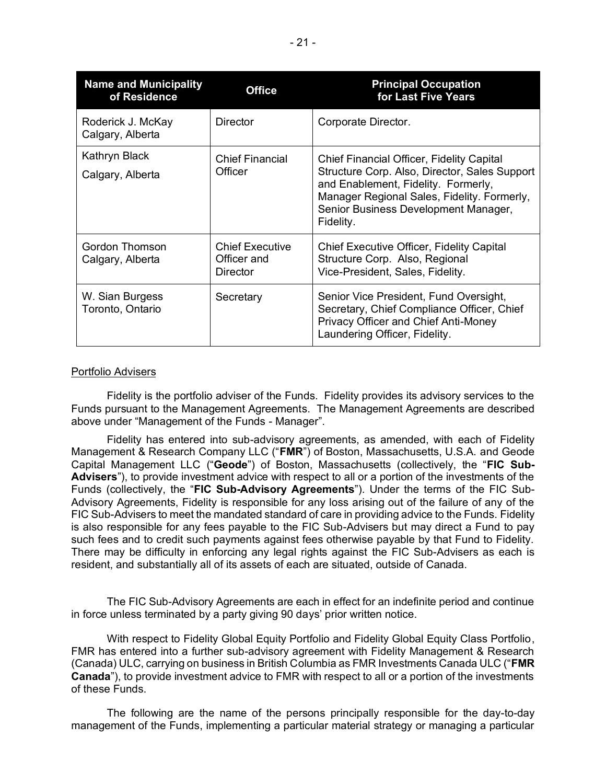| <b>Name and Municipality</b><br>of Residence | <b>Office</b>                                     | <b>Principal Occupation</b><br>for Last Five Years                                                                                                                                                                                    |
|----------------------------------------------|---------------------------------------------------|---------------------------------------------------------------------------------------------------------------------------------------------------------------------------------------------------------------------------------------|
| Roderick J. McKay<br>Calgary, Alberta        | Director                                          | Corporate Director.                                                                                                                                                                                                                   |
| Kathryn Black<br>Calgary, Alberta            | <b>Chief Financial</b><br>Officer                 | Chief Financial Officer, Fidelity Capital<br>Structure Corp. Also, Director, Sales Support<br>and Enablement, Fidelity. Formerly,<br>Manager Regional Sales, Fidelity. Formerly,<br>Senior Business Development Manager,<br>Fidelity. |
| Gordon Thomson<br>Calgary, Alberta           | <b>Chief Executive</b><br>Officer and<br>Director | Chief Executive Officer, Fidelity Capital<br>Structure Corp. Also, Regional<br>Vice-President, Sales, Fidelity.                                                                                                                       |
| W. Sian Burgess<br>Toronto, Ontario          | Secretary                                         | Senior Vice President, Fund Oversight,<br>Secretary, Chief Compliance Officer, Chief<br>Privacy Officer and Chief Anti-Money<br>Laundering Officer, Fidelity.                                                                         |

## Portfolio Advisers

Fidelity is the portfolio adviser of the Funds. Fidelity provides its advisory services to the Funds pursuant to the Management Agreements. The Management Agreements are described above under "Management of the Funds - Manager".

Fidelity has entered into sub-advisory agreements, as amended, with each of Fidelity Management & Research Company LLC ("**FMR**") of Boston, Massachusetts, U.S.A. and Geode Capital Management LLC ("**Geode**") of Boston, Massachusetts (collectively, the "**FIC Sub-Advisers**"), to provide investment advice with respect to all or a portion of the investments of the Funds (collectively, the "**FIC Sub-Advisory Agreements**"). Under the terms of the FIC Sub-Advisory Agreements, Fidelity is responsible for any loss arising out of the failure of any of the FIC Sub-Advisers to meet the mandated standard of care in providing advice to the Funds. Fidelity is also responsible for any fees payable to the FIC Sub-Advisers but may direct a Fund to pay such fees and to credit such payments against fees otherwise payable by that Fund to Fidelity. There may be difficulty in enforcing any legal rights against the FIC Sub-Advisers as each is resident, and substantially all of its assets of each are situated, outside of Canada.

The FIC Sub-Advisory Agreements are each in effect for an indefinite period and continue in force unless terminated by a party giving 90 days' prior written notice.

With respect to Fidelity Global Equity Portfolio and Fidelity Global Equity Class Portfolio, FMR has entered into a further sub-advisory agreement with Fidelity Management & Research (Canada) ULC, carrying on business in British Columbia as FMR Investments Canada ULC ("**FMR Canada**"), to provide investment advice to FMR with respect to all or a portion of the investments of these Funds.

The following are the name of the persons principally responsible for the day-to-day management of the Funds, implementing a particular material strategy or managing a particular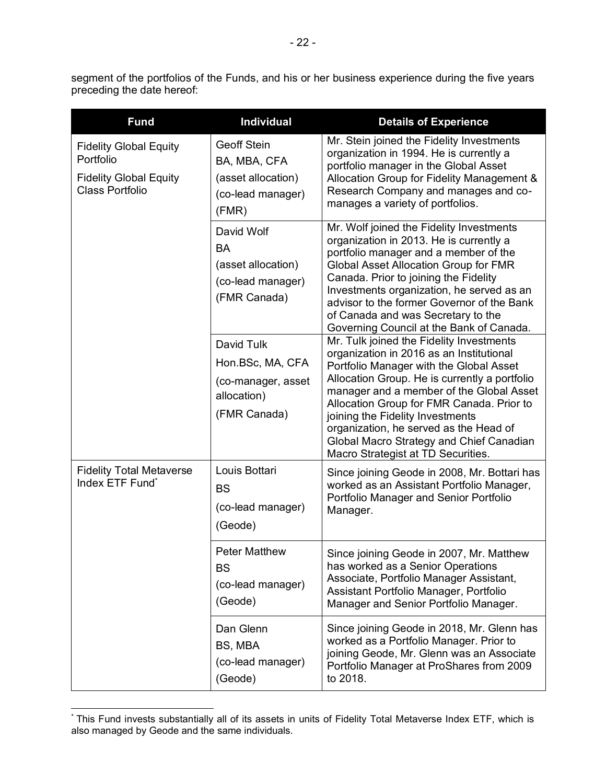segment of the portfolios of the Funds, and his or her business experience during the five years preceding the date hereof:

| <b>Fund</b>                                                                                           | <b>Individual</b>                                                                      | <b>Details of Experience</b>                                                                                                                                                                                                                                                                                                                                                                                                              |
|-------------------------------------------------------------------------------------------------------|----------------------------------------------------------------------------------------|-------------------------------------------------------------------------------------------------------------------------------------------------------------------------------------------------------------------------------------------------------------------------------------------------------------------------------------------------------------------------------------------------------------------------------------------|
| <b>Fidelity Global Equity</b><br>Portfolio<br><b>Fidelity Global Equity</b><br><b>Class Portfolio</b> | <b>Geoff Stein</b><br>BA, MBA, CFA<br>(asset allocation)<br>(co-lead manager)<br>(FMR) | Mr. Stein joined the Fidelity Investments<br>organization in 1994. He is currently a<br>portfolio manager in the Global Asset<br>Allocation Group for Fidelity Management &<br>Research Company and manages and co-<br>manages a variety of portfolios.                                                                                                                                                                                   |
|                                                                                                       | David Wolf<br><b>BA</b><br>(asset allocation)<br>(co-lead manager)<br>(FMR Canada)     | Mr. Wolf joined the Fidelity Investments<br>organization in 2013. He is currently a<br>portfolio manager and a member of the<br><b>Global Asset Allocation Group for FMR</b><br>Canada. Prior to joining the Fidelity<br>Investments organization, he served as an<br>advisor to the former Governor of the Bank<br>of Canada and was Secretary to the<br>Governing Council at the Bank of Canada.                                        |
|                                                                                                       | David Tulk<br>Hon.BSc, MA, CFA<br>(co-manager, asset<br>allocation)<br>(FMR Canada)    | Mr. Tulk joined the Fidelity Investments<br>organization in 2016 as an Institutional<br>Portfolio Manager with the Global Asset<br>Allocation Group. He is currently a portfolio<br>manager and a member of the Global Asset<br>Allocation Group for FMR Canada. Prior to<br>joining the Fidelity Investments<br>organization, he served as the Head of<br>Global Macro Strategy and Chief Canadian<br>Macro Strategist at TD Securities. |
| <b>Fidelity Total Metaverse</b><br>Index ETF Fund*                                                    | Louis Bottari<br><b>BS</b><br>(co-lead manager)<br>(Geode)                             | Since joining Geode in 2008, Mr. Bottari has<br>worked as an Assistant Portfolio Manager,<br>Portfolio Manager and Senior Portfolio<br>Manager.                                                                                                                                                                                                                                                                                           |
|                                                                                                       | <b>Peter Matthew</b><br><b>BS</b><br>(co-lead manager)<br>(Geode)                      | Since joining Geode in 2007, Mr. Matthew<br>has worked as a Senior Operations<br>Associate, Portfolio Manager Assistant,<br>Assistant Portfolio Manager, Portfolio<br>Manager and Senior Portfolio Manager.                                                                                                                                                                                                                               |
|                                                                                                       | Dan Glenn<br>BS, MBA<br>(co-lead manager)<br>(Geode)                                   | Since joining Geode in 2018, Mr. Glenn has<br>worked as a Portfolio Manager. Prior to<br>joining Geode, Mr. Glenn was an Associate<br>Portfolio Manager at ProShares from 2009<br>to 2018.                                                                                                                                                                                                                                                |

<sup>\*</sup> This Fund invests substantially all of its assets in units of Fidelity Total Metaverse Index ETF, which is also managed by Geode and the same individuals.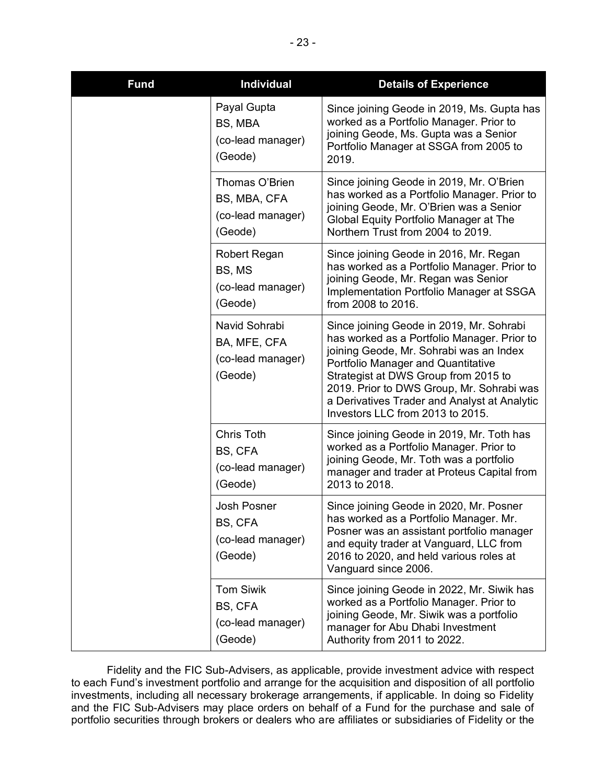| <b>Fund</b> | <b>Individual</b>                                              | <b>Details of Experience</b>                                                                                                                                                                                                                                                                                                                      |
|-------------|----------------------------------------------------------------|---------------------------------------------------------------------------------------------------------------------------------------------------------------------------------------------------------------------------------------------------------------------------------------------------------------------------------------------------|
|             | Payal Gupta<br>BS, MBA<br>(co-lead manager)<br>(Geode)         | Since joining Geode in 2019, Ms. Gupta has<br>worked as a Portfolio Manager. Prior to<br>joining Geode, Ms. Gupta was a Senior<br>Portfolio Manager at SSGA from 2005 to<br>2019.                                                                                                                                                                 |
|             | Thomas O'Brien<br>BS, MBA, CFA<br>(co-lead manager)<br>(Geode) | Since joining Geode in 2019, Mr. O'Brien<br>has worked as a Portfolio Manager. Prior to<br>joining Geode, Mr. O'Brien was a Senior<br>Global Equity Portfolio Manager at The<br>Northern Trust from 2004 to 2019.                                                                                                                                 |
|             | Robert Regan<br>BS, MS<br>(co-lead manager)<br>(Geode)         | Since joining Geode in 2016, Mr. Regan<br>has worked as a Portfolio Manager. Prior to<br>joining Geode, Mr. Regan was Senior<br>Implementation Portfolio Manager at SSGA<br>from 2008 to 2016.                                                                                                                                                    |
|             | Navid Sohrabi<br>BA, MFE, CFA<br>(co-lead manager)<br>(Geode)  | Since joining Geode in 2019, Mr. Sohrabi<br>has worked as a Portfolio Manager. Prior to<br>joining Geode, Mr. Sohrabi was an Index<br>Portfolio Manager and Quantitative<br>Strategist at DWS Group from 2015 to<br>2019. Prior to DWS Group, Mr. Sohrabi was<br>a Derivatives Trader and Analyst at Analytic<br>Investors LLC from 2013 to 2015. |
|             | Chris Toth<br>BS, CFA<br>(co-lead manager)<br>(Geode)          | Since joining Geode in 2019, Mr. Toth has<br>worked as a Portfolio Manager. Prior to<br>joining Geode, Mr. Toth was a portfolio<br>manager and trader at Proteus Capital from<br>2013 to 2018.                                                                                                                                                    |
|             | <b>Josh Posner</b><br>BS, CFA<br>(co-lead manager)<br>(Geode)  | Since joining Geode in 2020, Mr. Posner<br>has worked as a Portfolio Manager. Mr.<br>Posner was an assistant portfolio manager<br>and equity trader at Vanguard, LLC from<br>2016 to 2020, and held various roles at<br>Vanguard since 2006.                                                                                                      |
|             | <b>Tom Siwik</b><br>BS, CFA<br>(co-lead manager)<br>(Geode)    | Since joining Geode in 2022, Mr. Siwik has<br>worked as a Portfolio Manager. Prior to<br>joining Geode, Mr. Siwik was a portfolio<br>manager for Abu Dhabi Investment<br>Authority from 2011 to 2022.                                                                                                                                             |

Fidelity and the FIC Sub-Advisers, as applicable, provide investment advice with respect to each Fund's investment portfolio and arrange for the acquisition and disposition of all portfolio investments, including all necessary brokerage arrangements, if applicable. In doing so Fidelity and the FIC Sub-Advisers may place orders on behalf of a Fund for the purchase and sale of portfolio securities through brokers or dealers who are affiliates or subsidiaries of Fidelity or the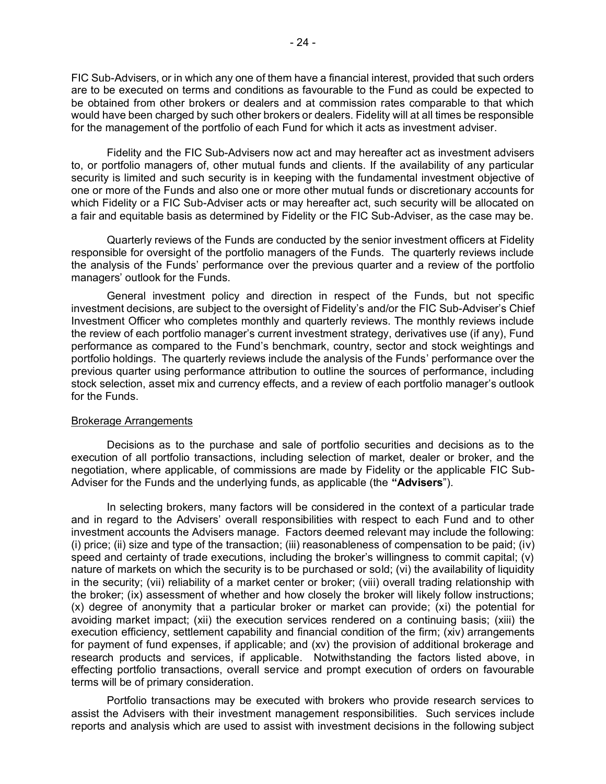FIC Sub-Advisers, or in which any one of them have a financial interest, provided that such orders are to be executed on terms and conditions as favourable to the Fund as could be expected to be obtained from other brokers or dealers and at commission rates comparable to that which would have been charged by such other brokers or dealers. Fidelity will at all times be responsible for the management of the portfolio of each Fund for which it acts as investment adviser.

Fidelity and the FIC Sub-Advisers now act and may hereafter act as investment advisers to, or portfolio managers of, other mutual funds and clients. If the availability of any particular security is limited and such security is in keeping with the fundamental investment objective of one or more of the Funds and also one or more other mutual funds or discretionary accounts for which Fidelity or a FIC Sub-Adviser acts or may hereafter act, such security will be allocated on a fair and equitable basis as determined by Fidelity or the FIC Sub-Adviser, as the case may be.

Quarterly reviews of the Funds are conducted by the senior investment officers at Fidelity responsible for oversight of the portfolio managers of the Funds. The quarterly reviews include the analysis of the Funds' performance over the previous quarter and a review of the portfolio managers' outlook for the Funds.

General investment policy and direction in respect of the Funds, but not specific investment decisions, are subject to the oversight of Fidelity's and/or the FIC Sub-Adviser's Chief Investment Officer who completes monthly and quarterly reviews. The monthly reviews include the review of each portfolio manager's current investment strategy, derivatives use (if any), Fund performance as compared to the Fund's benchmark, country, sector and stock weightings and portfolio holdings. The quarterly reviews include the analysis of the Funds' performance over the previous quarter using performance attribution to outline the sources of performance, including stock selection, asset mix and currency effects, and a review of each portfolio manager's outlook for the Funds.

#### Brokerage Arrangements

Decisions as to the purchase and sale of portfolio securities and decisions as to the execution of all portfolio transactions, including selection of market, dealer or broker, and the negotiation, where applicable, of commissions are made by Fidelity or the applicable FIC Sub-Adviser for the Funds and the underlying funds, as applicable (the **"Advisers**").

In selecting brokers, many factors will be considered in the context of a particular trade and in regard to the Advisers' overall responsibilities with respect to each Fund and to other investment accounts the Advisers manage. Factors deemed relevant may include the following: (i) price; (ii) size and type of the transaction; (iii) reasonableness of compensation to be paid; (iv) speed and certainty of trade executions, including the broker's willingness to commit capital; (v) nature of markets on which the security is to be purchased or sold; (vi) the availability of liquidity in the security; (vii) reliability of a market center or broker; (viii) overall trading relationship with the broker; (ix) assessment of whether and how closely the broker will likely follow instructions; (x) degree of anonymity that a particular broker or market can provide; (xi) the potential for avoiding market impact; (xii) the execution services rendered on a continuing basis; (xiii) the execution efficiency, settlement capability and financial condition of the firm; (xiv) arrangements for payment of fund expenses, if applicable; and (xv) the provision of additional brokerage and research products and services, if applicable. Notwithstanding the factors listed above, in effecting portfolio transactions, overall service and prompt execution of orders on favourable terms will be of primary consideration.

Portfolio transactions may be executed with brokers who provide research services to assist the Advisers with their investment management responsibilities. Such services include reports and analysis which are used to assist with investment decisions in the following subject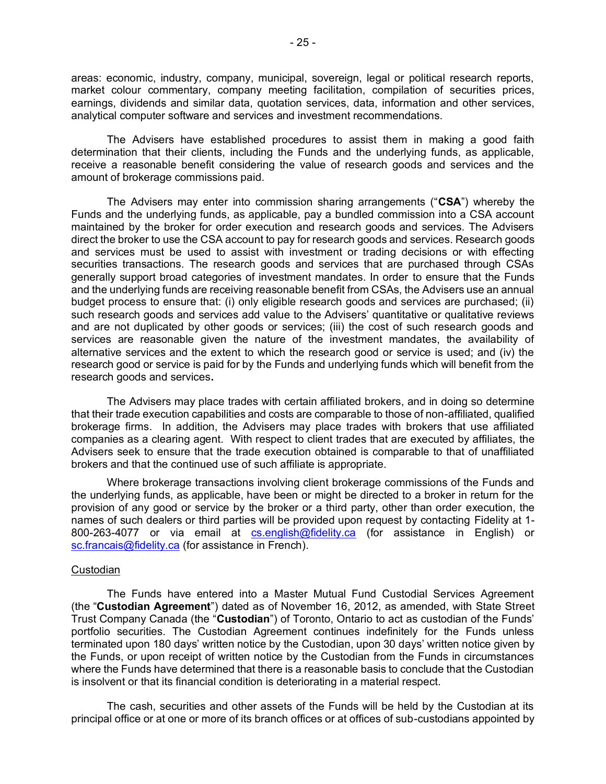areas: economic, industry, company, municipal, sovereign, legal or political research reports, market colour commentary, company meeting facilitation, compilation of securities prices, earnings, dividends and similar data, quotation services, data, information and other services, analytical computer software and services and investment recommendations.

The Advisers have established procedures to assist them in making a good faith determination that their clients, including the Funds and the underlying funds, as applicable, receive a reasonable benefit considering the value of research goods and services and the amount of brokerage commissions paid.

The Advisers may enter into commission sharing arrangements ("**CSA**") whereby the Funds and the underlying funds, as applicable, pay a bundled commission into a CSA account maintained by the broker for order execution and research goods and services. The Advisers direct the broker to use the CSA account to pay for research goods and services. Research goods and services must be used to assist with investment or trading decisions or with effecting securities transactions. The research goods and services that are purchased through CSAs generally support broad categories of investment mandates. In order to ensure that the Funds and the underlying funds are receiving reasonable benefit from CSAs, the Advisers use an annual budget process to ensure that: (i) only eligible research goods and services are purchased; (ii) such research goods and services add value to the Advisers' quantitative or qualitative reviews and are not duplicated by other goods or services; (iii) the cost of such research goods and services are reasonable given the nature of the investment mandates, the availability of alternative services and the extent to which the research good or service is used; and (iv) the research good or service is paid for by the Funds and underlying funds which will benefit from the research goods and services**.** 

The Advisers may place trades with certain affiliated brokers, and in doing so determine that their trade execution capabilities and costs are comparable to those of non-affiliated, qualified brokerage firms. In addition, the Advisers may place trades with brokers that use affiliated companies as a clearing agent. With respect to client trades that are executed by affiliates, the Advisers seek to ensure that the trade execution obtained is comparable to that of unaffiliated brokers and that the continued use of such affiliate is appropriate.

Where brokerage transactions involving client brokerage commissions of the Funds and the underlying funds, as applicable, have been or might be directed to a broker in return for the provision of any good or service by the broker or a third party, other than order execution, the names of such dealers or third parties will be provided upon request by contacting Fidelity at 1 800-263-4077 or via email at [cs.english@fidelity.ca](mailto:cs.english@fidelity.ca) (for assistance in English) or [sc.francais@fidelity.ca](mailto:sc.francais@fidelity.ca) (for assistance in French).

#### Custodian

The Funds have entered into a Master Mutual Fund Custodial Services Agreement (the "**Custodian Agreement**") dated as of November 16, 2012, as amended, with State Street Trust Company Canada (the "**Custodian**") of Toronto, Ontario to act as custodian of the Funds' portfolio securities. The Custodian Agreement continues indefinitely for the Funds unless terminated upon 180 days' written notice by the Custodian, upon 30 days' written notice given by the Funds, or upon receipt of written notice by the Custodian from the Funds in circumstances where the Funds have determined that there is a reasonable basis to conclude that the Custodian is insolvent or that its financial condition is deteriorating in a material respect.

The cash, securities and other assets of the Funds will be held by the Custodian at its principal office or at one or more of its branch offices or at offices of sub-custodians appointed by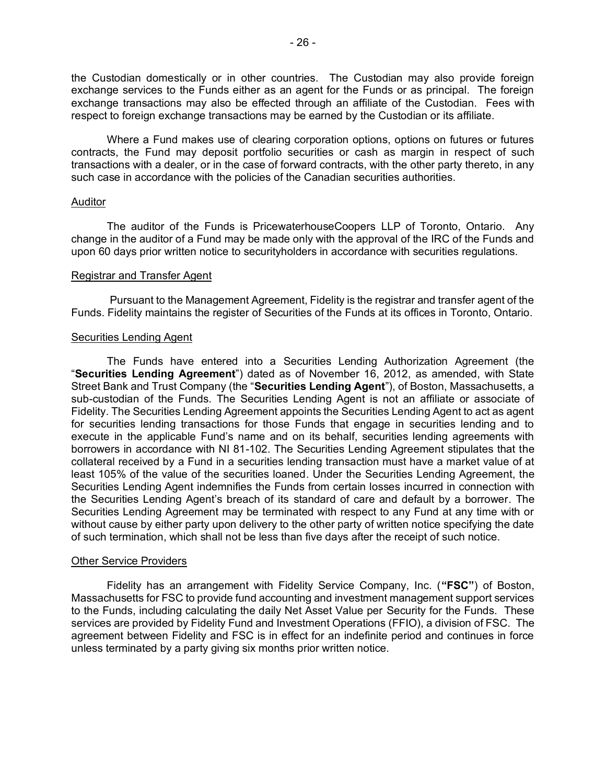the Custodian domestically or in other countries. The Custodian may also provide foreign exchange services to the Funds either as an agent for the Funds or as principal. The foreign exchange transactions may also be effected through an affiliate of the Custodian. Fees with respect to foreign exchange transactions may be earned by the Custodian or its affiliate.

Where a Fund makes use of clearing corporation options, options on futures or futures contracts, the Fund may deposit portfolio securities or cash as margin in respect of such transactions with a dealer, or in the case of forward contracts, with the other party thereto, in any such case in accordance with the policies of the Canadian securities authorities.

## Auditor

The auditor of the Funds is PricewaterhouseCoopers LLP of Toronto, Ontario. Any change in the auditor of a Fund may be made only with the approval of the IRC of the Funds and upon 60 days prior written notice to securityholders in accordance with securities regulations.

## Registrar and Transfer Agent

Pursuant to the Management Agreement, Fidelity is the registrar and transfer agent of the Funds. Fidelity maintains the register of Securities of the Funds at its offices in Toronto, Ontario.

## Securities Lending Agent

The Funds have entered into a Securities Lending Authorization Agreement (the "**Securities Lending Agreement**") dated as of November 16, 2012, as amended, with State Street Bank and Trust Company (the "**Securities Lending Agent**"), of Boston, Massachusetts, a sub-custodian of the Funds. The Securities Lending Agent is not an affiliate or associate of Fidelity. The Securities Lending Agreement appoints the Securities Lending Agent to act as agent for securities lending transactions for those Funds that engage in securities lending and to execute in the applicable Fund's name and on its behalf, securities lending agreements with borrowers in accordance with NI 81-102. The Securities Lending Agreement stipulates that the collateral received by a Fund in a securities lending transaction must have a market value of at least 105% of the value of the securities loaned. Under the Securities Lending Agreement, the Securities Lending Agent indemnifies the Funds from certain losses incurred in connection with the Securities Lending Agent's breach of its standard of care and default by a borrower. The Securities Lending Agreement may be terminated with respect to any Fund at any time with or without cause by either party upon delivery to the other party of written notice specifying the date of such termination, which shall not be less than five days after the receipt of such notice.

#### Other Service Providers

Fidelity has an arrangement with Fidelity Service Company, Inc. (**"FSC"**) of Boston, Massachusetts for FSC to provide fund accounting and investment management support services to the Funds, including calculating the daily Net Asset Value per Security for the Funds. These services are provided by Fidelity Fund and Investment Operations (FFIO), a division of FSC. The agreement between Fidelity and FSC is in effect for an indefinite period and continues in force unless terminated by a party giving six months prior written notice.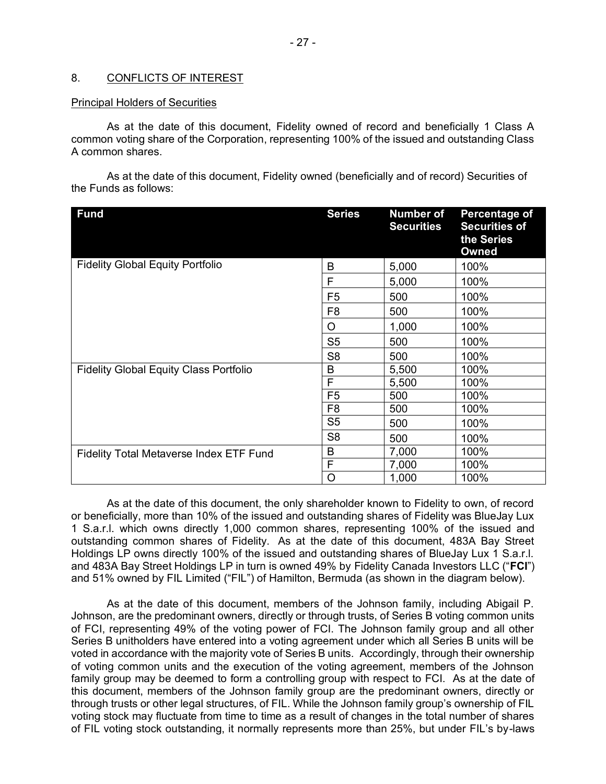## <span id="page-28-0"></span>8. CONFLICTS OF INTEREST

#### Principal Holders of Securities

As at the date of this document, Fidelity owned of record and beneficially 1 Class A common voting share of the Corporation, representing 100% of the issued and outstanding Class A common shares.

As at the date of this document, Fidelity owned (beneficially and of record) Securities of the Funds as follows:

| <b>Fund</b>                                    | <b>Series</b>  | <b>Number of</b><br><b>Securities</b> | Percentage of<br><b>Securities of</b><br>the Series<br>Owned |
|------------------------------------------------|----------------|---------------------------------------|--------------------------------------------------------------|
| <b>Fidelity Global Equity Portfolio</b>        | B              | 5,000                                 | 100%                                                         |
|                                                | F              | 5,000                                 | 100%                                                         |
|                                                | F <sub>5</sub> | 500                                   | 100%                                                         |
|                                                | F <sub>8</sub> | 500                                   | 100%                                                         |
|                                                | O              | 1,000                                 | 100%                                                         |
|                                                | S <sub>5</sub> | 500                                   | 100%                                                         |
|                                                | S <sub>8</sub> | 500                                   | 100%                                                         |
| <b>Fidelity Global Equity Class Portfolio</b>  | B              | 5,500                                 | 100%                                                         |
|                                                | F              | 5,500                                 | 100%                                                         |
|                                                | F <sub>5</sub> | 500                                   | 100%                                                         |
|                                                | F <sub>8</sub> | 500                                   | 100%                                                         |
|                                                | S <sub>5</sub> | 500                                   | 100%                                                         |
|                                                | S <sub>8</sub> | 500                                   | 100%                                                         |
| <b>Fidelity Total Metaverse Index ETF Fund</b> | B              | 7,000                                 | 100%                                                         |
|                                                | F              | 7,000                                 | 100%                                                         |
|                                                | O              | 1,000                                 | 100%                                                         |

As at the date of this document, the only shareholder known to Fidelity to own, of record or beneficially, more than 10% of the issued and outstanding shares of Fidelity was BlueJay Lux 1 S.a.r.l. which owns directly 1,000 common shares, representing 100% of the issued and outstanding common shares of Fidelity. As at the date of this document, 483A Bay Street Holdings LP owns directly 100% of the issued and outstanding shares of BlueJay Lux 1 S.a.r.l. and 483A Bay Street Holdings LP in turn is owned 49% by Fidelity Canada Investors LLC ("**FCI**") and 51% owned by FIL Limited ("FIL") of Hamilton, Bermuda (as shown in the diagram below).

As at the date of this document, members of the Johnson family, including Abigail P. Johnson, are the predominant owners, directly or through trusts, of Series B voting common units of FCI, representing 49% of the voting power of FCI. The Johnson family group and all other Series B unitholders have entered into a voting agreement under which all Series B units will be voted in accordance with the majority vote of Series B units. Accordingly, through their ownership of voting common units and the execution of the voting agreement, members of the Johnson family group may be deemed to form a controlling group with respect to FCI. As at the date of this document, members of the Johnson family group are the predominant owners, directly or through trusts or other legal structures, of FIL. While the Johnson family group's ownership of FIL voting stock may fluctuate from time to time as a result of changes in the total number of shares of FIL voting stock outstanding, it normally represents more than 25%, but under FIL's by-laws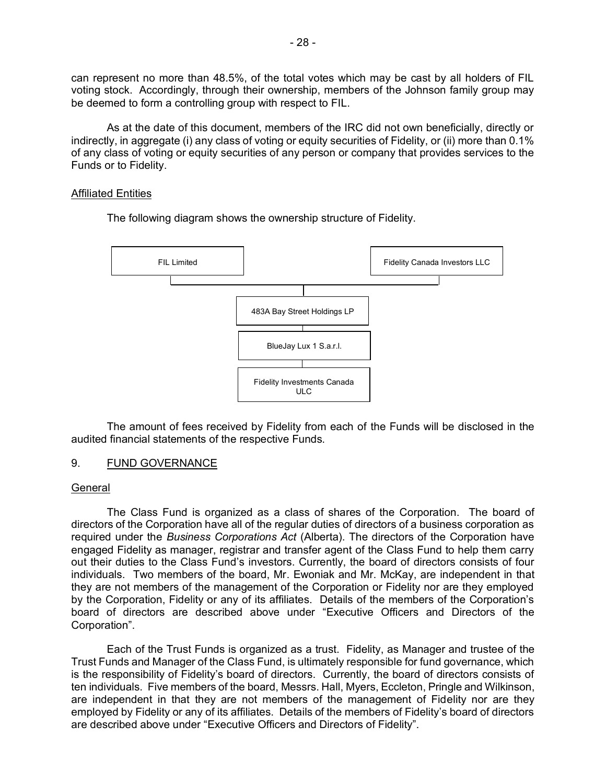can represent no more than 48.5%, of the total votes which may be cast by all holders of FIL voting stock. Accordingly, through their ownership, members of the Johnson family group may be deemed to form a controlling group with respect to FIL.

As at the date of this document, members of the IRC did not own beneficially, directly or indirectly, in aggregate (i) any class of voting or equity securities of Fidelity, or (ii) more than 0.1% of any class of voting or equity securities of any person or company that provides services to the Funds or to Fidelity.

## Affiliated Entities

The following diagram shows the ownership structure of Fidelity.



The amount of fees received by Fidelity from each of the Funds will be disclosed in the audited financial statements of the respective Funds.

# <span id="page-29-0"></span>9. FUND GOVERNANCE

## General

The Class Fund is organized as a class of shares of the Corporation. The board of directors of the Corporation have all of the regular duties of directors of a business corporation as required under the *Business Corporations Act* (Alberta). The directors of the Corporation have engaged Fidelity as manager, registrar and transfer agent of the Class Fund to help them carry out their duties to the Class Fund's investors. Currently, the board of directors consists of four individuals. Two members of the board, Mr. Ewoniak and Mr. McKay, are independent in that they are not members of the management of the Corporation or Fidelity nor are they employed by the Corporation, Fidelity or any of its affiliates. Details of the members of the Corporation's board of directors are described above under "Executive Officers and Directors of the Corporation".

Each of the Trust Funds is organized as a trust. Fidelity, as Manager and trustee of the Trust Funds and Manager of the Class Fund, is ultimately responsible for fund governance, which is the responsibility of Fidelity's board of directors. Currently, the board of directors consists of ten individuals. Five members of the board, Messrs. Hall, Myers, Eccleton, Pringle and Wilkinson, are independent in that they are not members of the management of Fidelity nor are they employed by Fidelity or any of its affiliates. Details of the members of Fidelity's board of directors are described above under "Executive Officers and Directors of Fidelity".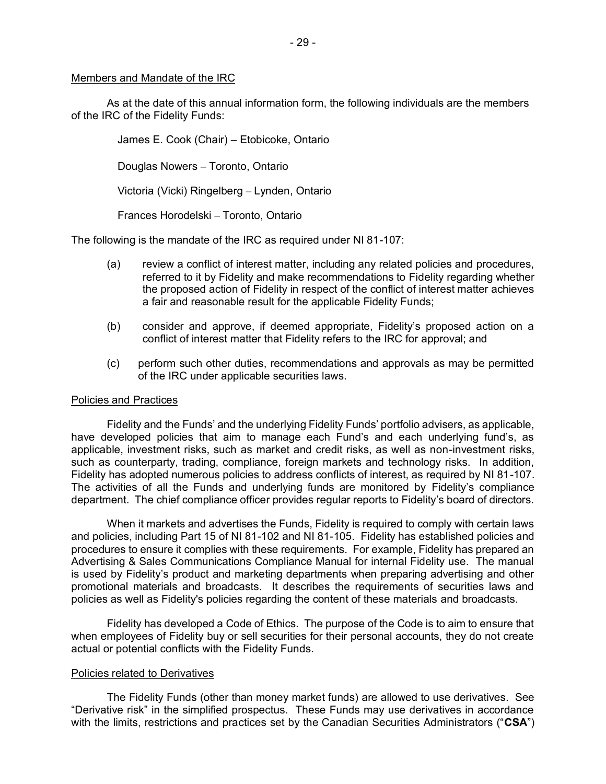## Members and Mandate of the IRC

As at the date of this annual information form, the following individuals are the members of the IRC of the Fidelity Funds:

> James E. Cook (Chair) – Etobicoke, Ontario Douglas Nowers – Toronto, Ontario Victoria (Vicki) Ringelberg – Lynden, Ontario

Frances Horodelski – Toronto, Ontario

The following is the mandate of the IRC as required under NI 81-107:

- (a) review a conflict of interest matter, including any related policies and procedures, referred to it by Fidelity and make recommendations to Fidelity regarding whether the proposed action of Fidelity in respect of the conflict of interest matter achieves a fair and reasonable result for the applicable Fidelity Funds;
- (b) consider and approve, if deemed appropriate, Fidelity's proposed action on a conflict of interest matter that Fidelity refers to the IRC for approval; and
- (c) perform such other duties, recommendations and approvals as may be permitted of the IRC under applicable securities laws.

#### Policies and Practices

Fidelity and the Funds' and the underlying Fidelity Funds' portfolio advisers, as applicable, have developed policies that aim to manage each Fund's and each underlying fund's, as applicable, investment risks, such as market and credit risks, as well as non-investment risks, such as counterparty, trading, compliance, foreign markets and technology risks. In addition, Fidelity has adopted numerous policies to address conflicts of interest, as required by NI 81-107. The activities of all the Funds and underlying funds are monitored by Fidelity's compliance department. The chief compliance officer provides regular reports to Fidelity's board of directors.

When it markets and advertises the Funds, Fidelity is required to comply with certain laws and policies, including Part 15 of NI 81-102 and NI 81-105. Fidelity has established policies and procedures to ensure it complies with these requirements. For example, Fidelity has prepared an Advertising & Sales Communications Compliance Manual for internal Fidelity use. The manual is used by Fidelity's product and marketing departments when preparing advertising and other promotional materials and broadcasts. It describes the requirements of securities laws and policies as well as Fidelity's policies regarding the content of these materials and broadcasts.

Fidelity has developed a Code of Ethics. The purpose of the Code is to aim to ensure that when employees of Fidelity buy or sell securities for their personal accounts, they do not create actual or potential conflicts with the Fidelity Funds.

#### Policies related to Derivatives

The Fidelity Funds (other than money market funds) are allowed to use derivatives. See "Derivative risk" in the simplified prospectus. These Funds may use derivatives in accordance with the limits, restrictions and practices set by the Canadian Securities Administrators ("**CSA**")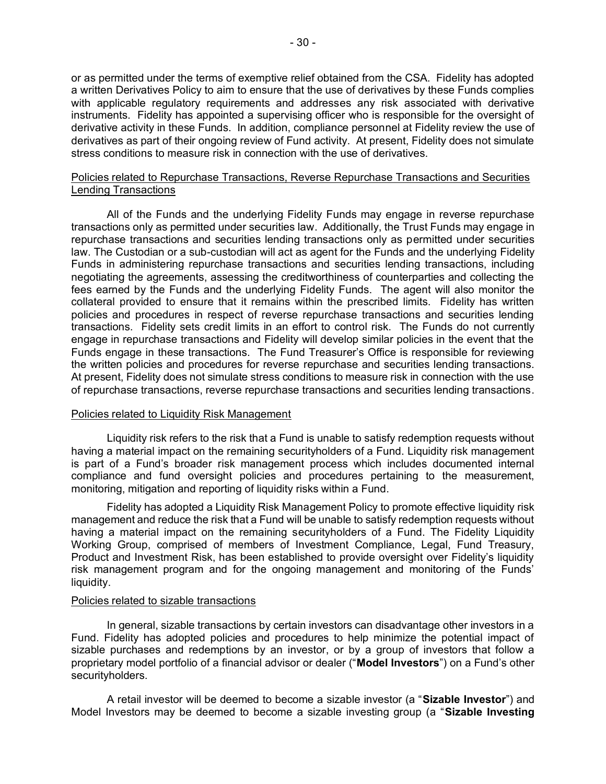or as permitted under the terms of exemptive relief obtained from the CSA. Fidelity has adopted a written Derivatives Policy to aim to ensure that the use of derivatives by these Funds complies with applicable regulatory requirements and addresses any risk associated with derivative instruments. Fidelity has appointed a supervising officer who is responsible for the oversight of derivative activity in these Funds. In addition, compliance personnel at Fidelity review the use of derivatives as part of their ongoing review of Fund activity. At present, Fidelity does not simulate stress conditions to measure risk in connection with the use of derivatives.

## Policies related to Repurchase Transactions, Reverse Repurchase Transactions and Securities Lending Transactions

All of the Funds and the underlying Fidelity Funds may engage in reverse repurchase transactions only as permitted under securities law. Additionally, the Trust Funds may engage in repurchase transactions and securities lending transactions only as permitted under securities law. The Custodian or a sub-custodian will act as agent for the Funds and the underlying Fidelity Funds in administering repurchase transactions and securities lending transactions, including negotiating the agreements, assessing the creditworthiness of counterparties and collecting the fees earned by the Funds and the underlying Fidelity Funds. The agent will also monitor the collateral provided to ensure that it remains within the prescribed limits. Fidelity has written policies and procedures in respect of reverse repurchase transactions and securities lending transactions. Fidelity sets credit limits in an effort to control risk. The Funds do not currently engage in repurchase transactions and Fidelity will develop similar policies in the event that the Funds engage in these transactions. The Fund Treasurer's Office is responsible for reviewing the written policies and procedures for reverse repurchase and securities lending transactions. At present, Fidelity does not simulate stress conditions to measure risk in connection with the use of repurchase transactions, reverse repurchase transactions and securities lending transactions.

#### Policies related to Liquidity Risk Management

Liquidity risk refers to the risk that a Fund is unable to satisfy redemption requests without having a material impact on the remaining securityholders of a Fund. Liquidity risk management is part of a Fund's broader risk management process which includes documented internal compliance and fund oversight policies and procedures pertaining to the measurement, monitoring, mitigation and reporting of liquidity risks within a Fund.

Fidelity has adopted a Liquidity Risk Management Policy to promote effective liquidity risk management and reduce the risk that a Fund will be unable to satisfy redemption requests without having a material impact on the remaining securityholders of a Fund. The Fidelity Liquidity Working Group, comprised of members of Investment Compliance, Legal, Fund Treasury, Product and Investment Risk, has been established to provide oversight over Fidelity's liquidity risk management program and for the ongoing management and monitoring of the Funds' liquidity.

#### Policies related to sizable transactions

In general, sizable transactions by certain investors can disadvantage other investors in a Fund. Fidelity has adopted policies and procedures to help minimize the potential impact of sizable purchases and redemptions by an investor, or by a group of investors that follow a proprietary model portfolio of a financial advisor or dealer ("**Model Investors**") on a Fund's other securityholders.

A retail investor will be deemed to become a sizable investor (a "**Sizable Investor**") and Model Investors may be deemed to become a sizable investing group (a "**Sizable Investing**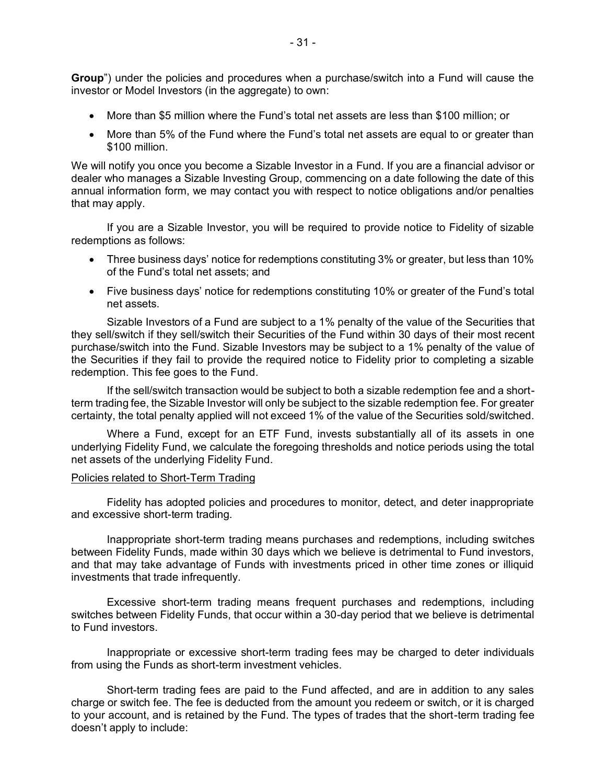**Group**") under the policies and procedures when a purchase/switch into a Fund will cause the investor or Model Investors (in the aggregate) to own:

- More than \$5 million where the Fund's total net assets are less than \$100 million; or
- More than 5% of the Fund where the Fund's total net assets are equal to or greater than \$100 million.

We will notify you once you become a Sizable Investor in a Fund. If you are a financial advisor or dealer who manages a Sizable Investing Group, commencing on a date following the date of this annual information form, we may contact you with respect to notice obligations and/or penalties that may apply.

If you are a Sizable Investor, you will be required to provide notice to Fidelity of sizable redemptions as follows:

- Three business days' notice for redemptions constituting 3% or greater, but less than 10% of the Fund's total net assets; and
- Five business days' notice for redemptions constituting 10% or greater of the Fund's total net assets.

Sizable Investors of a Fund are subject to a 1% penalty of the value of the Securities that they sell/switch if they sell/switch their Securities of the Fund within 30 days of their most recent purchase/switch into the Fund. Sizable Investors may be subject to a 1% penalty of the value of the Securities if they fail to provide the required notice to Fidelity prior to completing a sizable redemption. This fee goes to the Fund.

If the sell/switch transaction would be subject to both a sizable redemption fee and a shortterm trading fee, the Sizable Investor will only be subject to the sizable redemption fee. For greater certainty, the total penalty applied will not exceed 1% of the value of the Securities sold/switched.

Where a Fund, except for an ETF Fund, invests substantially all of its assets in one underlying Fidelity Fund, we calculate the foregoing thresholds and notice periods using the total net assets of the underlying Fidelity Fund.

#### Policies related to Short-Term Trading

Fidelity has adopted policies and procedures to monitor, detect, and deter inappropriate and excessive short-term trading.

Inappropriate short-term trading means purchases and redemptions, including switches between Fidelity Funds, made within 30 days which we believe is detrimental to Fund investors, and that may take advantage of Funds with investments priced in other time zones or illiquid investments that trade infrequently.

Excessive short-term trading means frequent purchases and redemptions, including switches between Fidelity Funds, that occur within a 30-day period that we believe is detrimental to Fund investors.

Inappropriate or excessive short-term trading fees may be charged to deter individuals from using the Funds as short-term investment vehicles.

Short-term trading fees are paid to the Fund affected, and are in addition to any sales charge or switch fee. The fee is deducted from the amount you redeem or switch, or it is charged to your account, and is retained by the Fund. The types of trades that the short-term trading fee doesn't apply to include: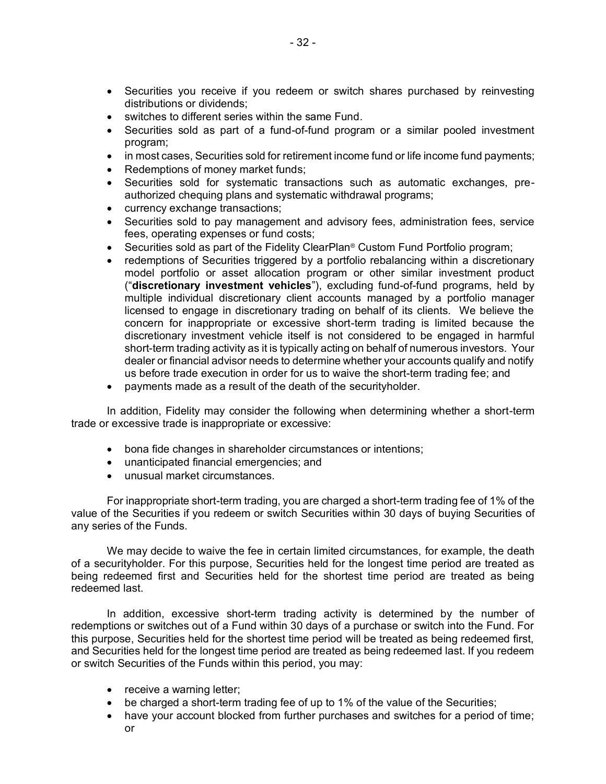- Securities you receive if you redeem or switch shares purchased by reinvesting distributions or dividends;
- switches to different series within the same Fund.
- Securities sold as part of a fund-of-fund program or a similar pooled investment program;
- in most cases, Securities sold for retirement income fund or life income fund payments;
- Redemptions of money market funds;
- Securities sold for systematic transactions such as automatic exchanges, preauthorized chequing plans and systematic withdrawal programs;
- currency exchange transactions;
- Securities sold to pay management and advisory fees, administration fees, service fees, operating expenses or fund costs;
- Securities sold as part of the Fidelity ClearPlan<sup>®</sup> Custom Fund Portfolio program;
- redemptions of Securities triggered by a portfolio rebalancing within a discretionary model portfolio or asset allocation program or other similar investment product ("**discretionary investment vehicles**"), excluding fund-of-fund programs, held by multiple individual discretionary client accounts managed by a portfolio manager licensed to engage in discretionary trading on behalf of its clients. We believe the concern for inappropriate or excessive short-term trading is limited because the discretionary investment vehicle itself is not considered to be engaged in harmful short-term trading activity as it is typically acting on behalf of numerous investors. Your dealer or financial advisor needs to determine whether your accounts qualify and notify us before trade execution in order for us to waive the short-term trading fee; and
- payments made as a result of the death of the securityholder.

In addition, Fidelity may consider the following when determining whether a short-term trade or excessive trade is inappropriate or excessive:

- bona fide changes in shareholder circumstances or intentions;
- unanticipated financial emergencies; and
- unusual market circumstances.

For inappropriate short-term trading, you are charged a short-term trading fee of 1% of the value of the Securities if you redeem or switch Securities within 30 days of buying Securities of any series of the Funds.

We may decide to waive the fee in certain limited circumstances, for example, the death of a securityholder. For this purpose, Securities held for the longest time period are treated as being redeemed first and Securities held for the shortest time period are treated as being redeemed last.

In addition, excessive short-term trading activity is determined by the number of redemptions or switches out of a Fund within 30 days of a purchase or switch into the Fund. For this purpose, Securities held for the shortest time period will be treated as being redeemed first, and Securities held for the longest time period are treated as being redeemed last. If you redeem or switch Securities of the Funds within this period, you may:

- receive a warning letter;
- be charged a short-term trading fee of up to 1% of the value of the Securities;
- have your account blocked from further purchases and switches for a period of time; or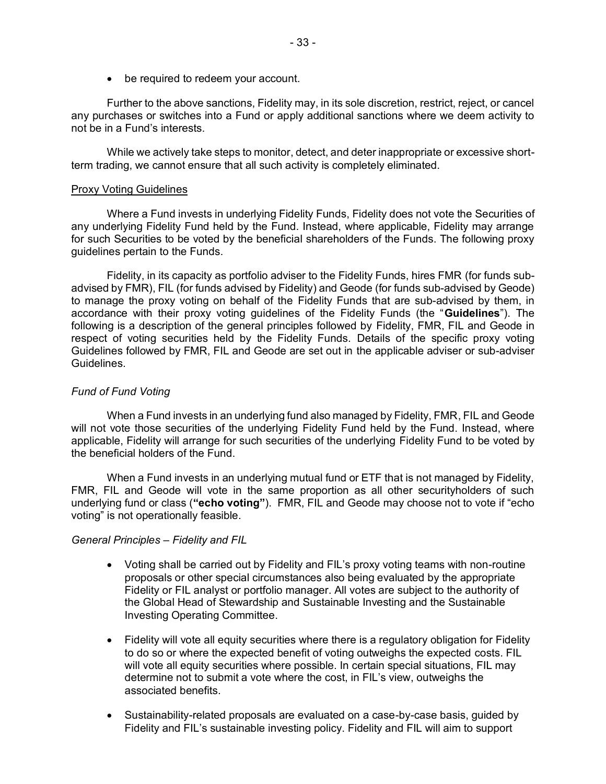• be required to redeem your account.

Further to the above sanctions, Fidelity may, in its sole discretion, restrict, reject, or cancel any purchases or switches into a Fund or apply additional sanctions where we deem activity to not be in a Fund's interests.

While we actively take steps to monitor, detect, and deter inappropriate or excessive shortterm trading, we cannot ensure that all such activity is completely eliminated.

#### Proxy Voting Guidelines

Where a Fund invests in underlying Fidelity Funds, Fidelity does not vote the Securities of any underlying Fidelity Fund held by the Fund. Instead, where applicable, Fidelity may arrange for such Securities to be voted by the beneficial shareholders of the Funds. The following proxy guidelines pertain to the Funds.

Fidelity, in its capacity as portfolio adviser to the Fidelity Funds, hires FMR (for funds subadvised by FMR), FIL (for funds advised by Fidelity) and Geode (for funds sub-advised by Geode) to manage the proxy voting on behalf of the Fidelity Funds that are sub-advised by them, in accordance with their proxy voting guidelines of the Fidelity Funds (the "**Guidelines**"). The following is a description of the general principles followed by Fidelity, FMR, FIL and Geode in respect of voting securities held by the Fidelity Funds. Details of the specific proxy voting Guidelines followed by FMR, FIL and Geode are set out in the applicable adviser or sub-adviser Guidelines.

## *Fund of Fund Voting*

When a Fund invests in an underlying fund also managed by Fidelity, FMR, FIL and Geode will not vote those securities of the underlying Fidelity Fund held by the Fund. Instead, where applicable, Fidelity will arrange for such securities of the underlying Fidelity Fund to be voted by the beneficial holders of the Fund.

When a Fund invests in an underlying mutual fund or ETF that is not managed by Fidelity, FMR, FIL and Geode will vote in the same proportion as all other securityholders of such underlying fund or class (**"echo voting"**). FMR, FIL and Geode may choose not to vote if "echo voting" is not operationally feasible.

## *General Principles – Fidelity and FIL*

- Voting shall be carried out by Fidelity and FIL's proxy voting teams with non-routine proposals or other special circumstances also being evaluated by the appropriate Fidelity or FIL analyst or portfolio manager. All votes are subject to the authority of the Global Head of Stewardship and Sustainable Investing and the Sustainable Investing Operating Committee.
- Fidelity will vote all equity securities where there is a regulatory obligation for Fidelity to do so or where the expected benefit of voting outweighs the expected costs. FIL will vote all equity securities where possible. In certain special situations, FIL may determine not to submit a vote where the cost, in FIL's view, outweighs the associated benefits.
- Sustainability-related proposals are evaluated on a case-by-case basis, guided by Fidelity and FIL's sustainable investing policy. Fidelity and FIL will aim to support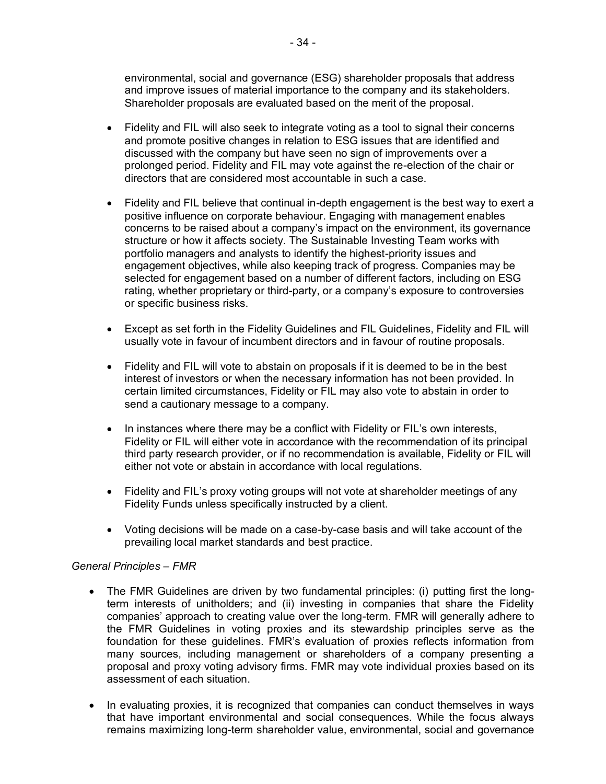environmental, social and governance (ESG) shareholder proposals that address and improve issues of material importance to the company and its stakeholders. Shareholder proposals are evaluated based on the merit of the proposal.

- Fidelity and FIL will also seek to integrate voting as a tool to signal their concerns and promote positive changes in relation to ESG issues that are identified and discussed with the company but have seen no sign of improvements over a prolonged period. Fidelity and FIL may vote against the re-election of the chair or directors that are considered most accountable in such a case.
- Fidelity and FIL believe that continual in-depth engagement is the best way to exert a positive influence on corporate behaviour. Engaging with management enables concerns to be raised about a company's impact on the environment, its governance structure or how it affects society. The Sustainable Investing Team works with portfolio managers and analysts to identify the highest-priority issues and engagement objectives, while also keeping track of progress. Companies may be selected for engagement based on a number of different factors, including on ESG rating, whether proprietary or third-party, or a company's exposure to controversies or specific business risks.
- Except as set forth in the Fidelity Guidelines and FIL Guidelines, Fidelity and FIL will usually vote in favour of incumbent directors and in favour of routine proposals.
- Fidelity and FIL will vote to abstain on proposals if it is deemed to be in the best interest of investors or when the necessary information has not been provided. In certain limited circumstances, Fidelity or FIL may also vote to abstain in order to send a cautionary message to a company.
- In instances where there may be a conflict with Fidelity or FIL's own interests, Fidelity or FIL will either vote in accordance with the recommendation of its principal third party research provider, or if no recommendation is available, Fidelity or FIL will either not vote or abstain in accordance with local regulations.
- Fidelity and FIL's proxy voting groups will not vote at shareholder meetings of any Fidelity Funds unless specifically instructed by a client.
- Voting decisions will be made on a case-by-case basis and will take account of the prevailing local market standards and best practice.

# *General Principles – FMR*

- The FMR Guidelines are driven by two fundamental principles: (i) putting first the longterm interests of unitholders; and (ii) investing in companies that share the Fidelity companies' approach to creating value over the long-term. FMR will generally adhere to the FMR Guidelines in voting proxies and its stewardship principles serve as the foundation for these guidelines. FMR's evaluation of proxies reflects information from many sources, including management or shareholders of a company presenting a proposal and proxy voting advisory firms. FMR may vote individual proxies based on its assessment of each situation.
- In evaluating proxies, it is recognized that companies can conduct themselves in ways that have important environmental and social consequences. While the focus always remains maximizing long-term shareholder value, environmental, social and governance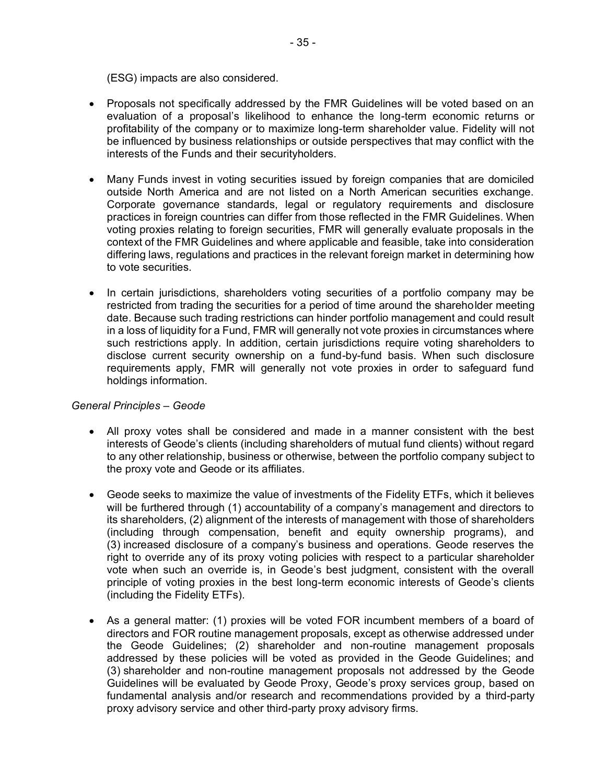(ESG) impacts are also considered.

- Proposals not specifically addressed by the FMR Guidelines will be voted based on an evaluation of a proposal's likelihood to enhance the long-term economic returns or profitability of the company or to maximize long-term shareholder value. Fidelity will not be influenced by business relationships or outside perspectives that may conflict with the interests of the Funds and their securityholders.
- Many Funds invest in voting securities issued by foreign companies that are domiciled outside North America and are not listed on a North American securities exchange. Corporate governance standards, legal or regulatory requirements and disclosure practices in foreign countries can differ from those reflected in the FMR Guidelines. When voting proxies relating to foreign securities, FMR will generally evaluate proposals in the context of the FMR Guidelines and where applicable and feasible, take into consideration differing laws, regulations and practices in the relevant foreign market in determining how to vote securities.
- In certain jurisdictions, shareholders voting securities of a portfolio company may be restricted from trading the securities for a period of time around the shareholder meeting date. Because such trading restrictions can hinder portfolio management and could result in a loss of liquidity for a Fund, FMR will generally not vote proxies in circumstances where such restrictions apply. In addition, certain jurisdictions require voting shareholders to disclose current security ownership on a fund-by-fund basis. When such disclosure requirements apply, FMR will generally not vote proxies in order to safeguard fund holdings information.

# *General Principles – Geode*

- All proxy votes shall be considered and made in a manner consistent with the best interests of Geode's clients (including shareholders of mutual fund clients) without regard to any other relationship, business or otherwise, between the portfolio company subject to the proxy vote and Geode or its affiliates.
- Geode seeks to maximize the value of investments of the Fidelity ETFs, which it believes will be furthered through (1) accountability of a company's management and directors to its shareholders, (2) alignment of the interests of management with those of shareholders (including through compensation, benefit and equity ownership programs), and (3) increased disclosure of a company's business and operations. Geode reserves the right to override any of its proxy voting policies with respect to a particular shareholder vote when such an override is, in Geode's best judgment, consistent with the overall principle of voting proxies in the best long-term economic interests of Geode's clients (including the Fidelity ETFs).
- As a general matter: (1) proxies will be voted FOR incumbent members of a board of directors and FOR routine management proposals, except as otherwise addressed under the Geode Guidelines; (2) shareholder and non-routine management proposals addressed by these policies will be voted as provided in the Geode Guidelines; and (3) shareholder and non-routine management proposals not addressed by the Geode Guidelines will be evaluated by Geode Proxy, Geode's proxy services group, based on fundamental analysis and/or research and recommendations provided by a third-party proxy advisory service and other third-party proxy advisory firms.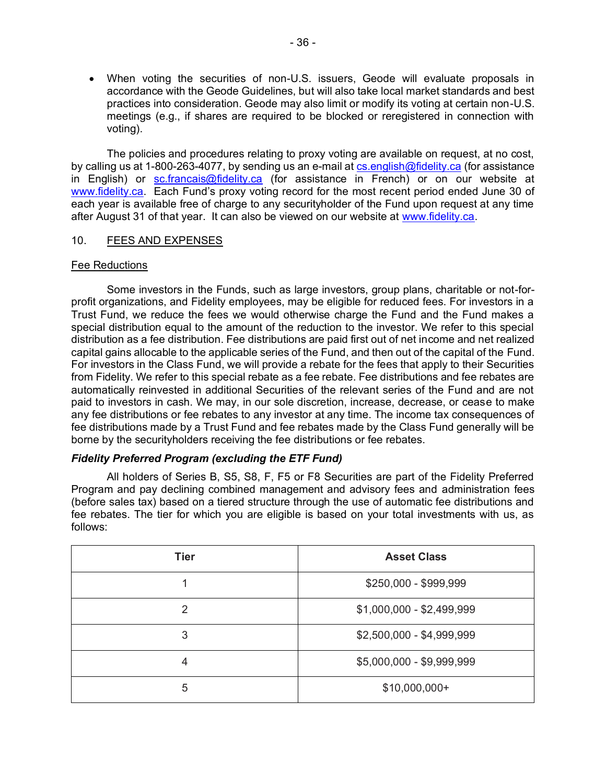• When voting the securities of non-U.S. issuers, Geode will evaluate proposals in accordance with the Geode Guidelines, but will also take local market standards and best practices into consideration. Geode may also limit or modify its voting at certain non-U.S. meetings (e.g., if shares are required to be blocked or reregistered in connection with voting).

The policies and procedures relating to proxy voting are available on request, at no cost, by calling us at 1-800-263-4077, by sending us an e-mail at [cs.english@fidelity.ca](mailto:cs.english@fidelity.ca) (for assistance in English) or [sc.francais@fidelity.ca](mailto:sc.francais@fidelity.ca) (for assistance in French) or on our website at [www.fidelity.ca.](http://www.fidelity.ca/) Each Fund's proxy voting record for the most recent period ended June 30 of each year is available free of charge to any securityholder of the Fund upon request at any time after August 31 of that year. It can also be viewed on our website at [www.fidelity.ca.](http://www.fidelity.ca/)

## <span id="page-37-0"></span>10. FEES AND EXPENSES

## Fee Reductions

Some investors in the Funds, such as large investors, group plans, charitable or not-forprofit organizations, and Fidelity employees, may be eligible for reduced fees. For investors in a Trust Fund, we reduce the fees we would otherwise charge the Fund and the Fund makes a special distribution equal to the amount of the reduction to the investor. We refer to this special distribution as a fee distribution. Fee distributions are paid first out of net income and net realized capital gains allocable to the applicable series of the Fund, and then out of the capital of the Fund. For investors in the Class Fund, we will provide a rebate for the fees that apply to their Securities from Fidelity. We refer to this special rebate as a fee rebate. Fee distributions and fee rebates are automatically reinvested in additional Securities of the relevant series of the Fund and are not paid to investors in cash. We may, in our sole discretion, increase, decrease, or cease to make any fee distributions or fee rebates to any investor at any time. The income tax consequences of fee distributions made by a Trust Fund and fee rebates made by the Class Fund generally will be borne by the securityholders receiving the fee distributions or fee rebates.

## *Fidelity Preferred Program (excluding the ETF Fund)*

All holders of Series B, S5, S8, F, F5 or F8 Securities are part of the Fidelity Preferred Program and pay declining combined management and advisory fees and administration fees (before sales tax) based on a tiered structure through the use of automatic fee distributions and fee rebates. The tier for which you are eligible is based on your total investments with us, as follows:

| <b>Tier</b>   | <b>Asset Class</b>        |  |
|---------------|---------------------------|--|
|               | \$250,000 - \$999,999     |  |
| $\mathcal{P}$ | $$1,000,000 - $2,499,999$ |  |
| 3             | $$2,500,000 - $4,999,999$ |  |
| 4             | \$5,000,000 - \$9,999,999 |  |
| 5             | $$10,000,000+$            |  |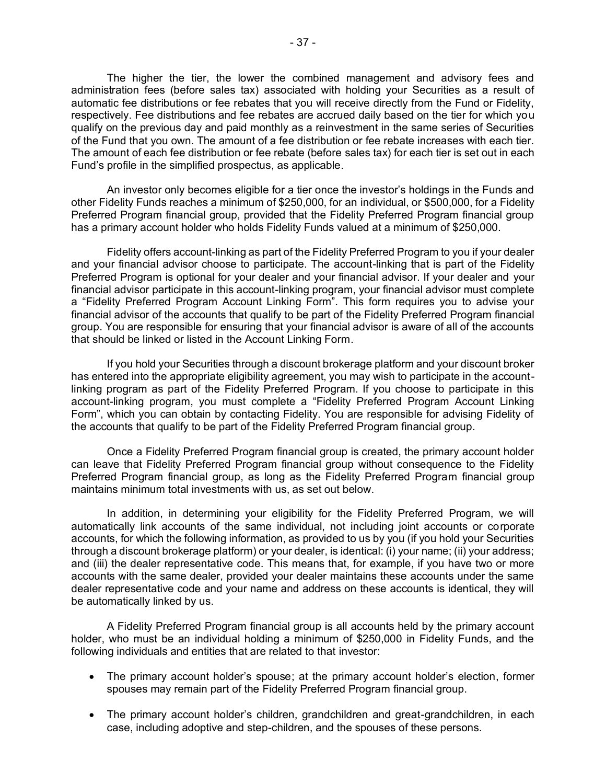The higher the tier, the lower the combined management and advisory fees and administration fees (before sales tax) associated with holding your Securities as a result of automatic fee distributions or fee rebates that you will receive directly from the Fund or Fidelity, respectively. Fee distributions and fee rebates are accrued daily based on the tier for which you qualify on the previous day and paid monthly as a reinvestment in the same series of Securities of the Fund that you own. The amount of a fee distribution or fee rebate increases with each tier. The amount of each fee distribution or fee rebate (before sales tax) for each tier is set out in each Fund's profile in the simplified prospectus, as applicable.

An investor only becomes eligible for a tier once the investor's holdings in the Funds and other Fidelity Funds reaches a minimum of \$250,000, for an individual, or \$500,000, for a Fidelity Preferred Program financial group, provided that the Fidelity Preferred Program financial group has a primary account holder who holds Fidelity Funds valued at a minimum of \$250,000.

Fidelity offers account-linking as part of the Fidelity Preferred Program to you if your dealer and your financial advisor choose to participate. The account-linking that is part of the Fidelity Preferred Program is optional for your dealer and your financial advisor. If your dealer and your financial advisor participate in this account-linking program, your financial advisor must complete a "Fidelity Preferred Program Account Linking Form". This form requires you to advise your financial advisor of the accounts that qualify to be part of the Fidelity Preferred Program financial group. You are responsible for ensuring that your financial advisor is aware of all of the accounts that should be linked or listed in the Account Linking Form.

If you hold your Securities through a discount brokerage platform and your discount broker has entered into the appropriate eligibility agreement, you may wish to participate in the accountlinking program as part of the Fidelity Preferred Program. If you choose to participate in this account-linking program, you must complete a "Fidelity Preferred Program Account Linking Form", which you can obtain by contacting Fidelity. You are responsible for advising Fidelity of the accounts that qualify to be part of the Fidelity Preferred Program financial group.

Once a Fidelity Preferred Program financial group is created, the primary account holder can leave that Fidelity Preferred Program financial group without consequence to the Fidelity Preferred Program financial group, as long as the Fidelity Preferred Program financial group maintains minimum total investments with us, as set out below.

In addition, in determining your eligibility for the Fidelity Preferred Program, we will automatically link accounts of the same individual, not including joint accounts or corporate accounts, for which the following information, as provided to us by you (if you hold your Securities through a discount brokerage platform) or your dealer, is identical: (i) your name; (ii) your address; and (iii) the dealer representative code. This means that, for example, if you have two or more accounts with the same dealer, provided your dealer maintains these accounts under the same dealer representative code and your name and address on these accounts is identical, they will be automatically linked by us.

A Fidelity Preferred Program financial group is all accounts held by the primary account holder, who must be an individual holding a minimum of \$250,000 in Fidelity Funds, and the following individuals and entities that are related to that investor:

- The primary account holder's spouse; at the primary account holder's election, former spouses may remain part of the Fidelity Preferred Program financial group.
- The primary account holder's children, grandchildren and great-grandchildren, in each case, including adoptive and step-children, and the spouses of these persons.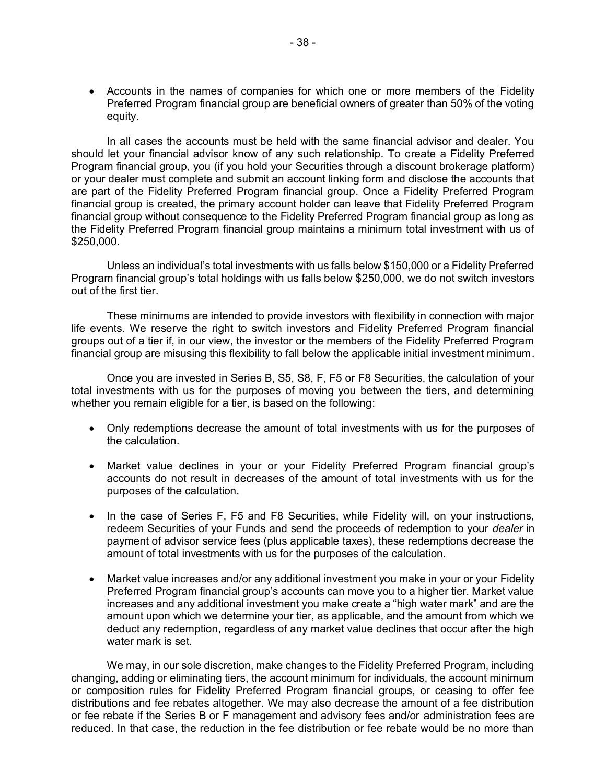• Accounts in the names of companies for which one or more members of the Fidelity Preferred Program financial group are beneficial owners of greater than 50% of the voting equity.

In all cases the accounts must be held with the same financial advisor and dealer. You should let your financial advisor know of any such relationship. To create a Fidelity Preferred Program financial group, you (if you hold your Securities through a discount brokerage platform) or your dealer must complete and submit an account linking form and disclose the accounts that are part of the Fidelity Preferred Program financial group. Once a Fidelity Preferred Program financial group is created, the primary account holder can leave that Fidelity Preferred Program financial group without consequence to the Fidelity Preferred Program financial group as long as the Fidelity Preferred Program financial group maintains a minimum total investment with us of \$250,000.

Unless an individual's total investments with us falls below \$150,000 or a Fidelity Preferred Program financial group's total holdings with us falls below \$250,000, we do not switch investors out of the first tier.

These minimums are intended to provide investors with flexibility in connection with major life events. We reserve the right to switch investors and Fidelity Preferred Program financial groups out of a tier if, in our view, the investor or the members of the Fidelity Preferred Program financial group are misusing this flexibility to fall below the applicable initial investment minimum.

Once you are invested in Series B, S5, S8, F, F5 or F8 Securities, the calculation of your total investments with us for the purposes of moving you between the tiers, and determining whether you remain eligible for a tier, is based on the following:

- Only redemptions decrease the amount of total investments with us for the purposes of the calculation.
- Market value declines in your or your Fidelity Preferred Program financial group's accounts do not result in decreases of the amount of total investments with us for the purposes of the calculation.
- In the case of Series F, F5 and F8 Securities, while Fidelity will, on your instructions, redeem Securities of your Funds and send the proceeds of redemption to your *dealer* in payment of advisor service fees (plus applicable taxes), these redemptions decrease the amount of total investments with us for the purposes of the calculation.
- Market value increases and/or any additional investment you make in your or your Fidelity Preferred Program financial group's accounts can move you to a higher tier. Market value increases and any additional investment you make create a "high water mark" and are the amount upon which we determine your tier, as applicable, and the amount from which we deduct any redemption, regardless of any market value declines that occur after the high water mark is set.

We may, in our sole discretion, make changes to the Fidelity Preferred Program, including changing, adding or eliminating tiers, the account minimum for individuals, the account minimum or composition rules for Fidelity Preferred Program financial groups, or ceasing to offer fee distributions and fee rebates altogether. We may also decrease the amount of a fee distribution or fee rebate if the Series B or F management and advisory fees and/or administration fees are reduced. In that case, the reduction in the fee distribution or fee rebate would be no more than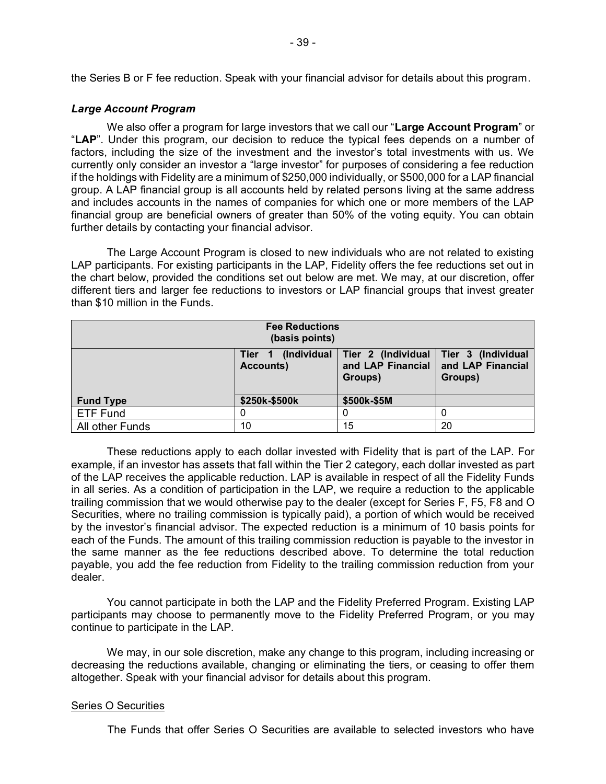the Series B or F fee reduction. Speak with your financial advisor for details about this program.

## *Large Account Program*

We also offer a program for large investors that we call our "**Large Account Program**" or "**LAP**". Under this program, our decision to reduce the typical fees depends on a number of factors, including the size of the investment and the investor's total investments with us. We currently only consider an investor a "large investor" for purposes of considering a fee reduction if the holdings with Fidelity are a minimum of \$250,000 individually, or \$500,000 for a LAP financial group. A LAP financial group is all accounts held by related persons living at the same address and includes accounts in the names of companies for which one or more members of the LAP financial group are beneficial owners of greater than 50% of the voting equity. You can obtain further details by contacting your financial advisor.

The Large Account Program is closed to new individuals who are not related to existing LAP participants. For existing participants in the LAP, Fidelity offers the fee reductions set out in the chart below, provided the conditions set out below are met. We may, at our discretion, offer different tiers and larger fee reductions to investors or LAP financial groups that invest greater than \$10 million in the Funds.

| <b>Fee Reductions</b><br>(basis points) |                                               |                                                                         |                              |
|-----------------------------------------|-----------------------------------------------|-------------------------------------------------------------------------|------------------------------|
|                                         | (Individual<br>Tier <sub>1</sub><br>Accounts) | Tier 2 (Individual   Tier 3 (Individual<br>and LAP Financial<br>Groups) | and LAP Financial<br>Groups) |
| <b>Fund Type</b>                        | \$250k-\$500k                                 | \$500k-\$5M                                                             |                              |
| <b>ETF Fund</b>                         |                                               | O                                                                       |                              |
| All other Funds                         | 10                                            | 15                                                                      | 20                           |

These reductions apply to each dollar invested with Fidelity that is part of the LAP. For example, if an investor has assets that fall within the Tier 2 category, each dollar invested as part of the LAP receives the applicable reduction. LAP is available in respect of all the Fidelity Funds in all series. As a condition of participation in the LAP, we require a reduction to the applicable trailing commission that we would otherwise pay to the dealer (except for Series F, F5, F8 and O Securities, where no trailing commission is typically paid), a portion of which would be received by the investor's financial advisor. The expected reduction is a minimum of 10 basis points for each of the Funds. The amount of this trailing commission reduction is payable to the investor in the same manner as the fee reductions described above. To determine the total reduction payable, you add the fee reduction from Fidelity to the trailing commission reduction from your dealer.

You cannot participate in both the LAP and the Fidelity Preferred Program. Existing LAP participants may choose to permanently move to the Fidelity Preferred Program, or you may continue to participate in the LAP.

We may, in our sole discretion, make any change to this program, including increasing or decreasing the reductions available, changing or eliminating the tiers, or ceasing to offer them altogether. Speak with your financial advisor for details about this program.

## Series O Securities

The Funds that offer Series O Securities are available to selected investors who have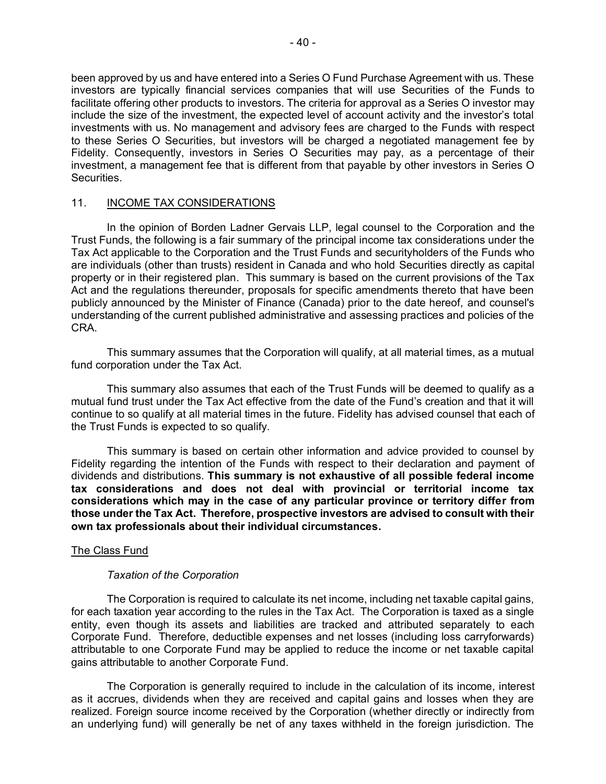been approved by us and have entered into a Series O Fund Purchase Agreement with us. These investors are typically financial services companies that will use Securities of the Funds to facilitate offering other products to investors. The criteria for approval as a Series O investor may include the size of the investment, the expected level of account activity and the investor's total investments with us. No management and advisory fees are charged to the Funds with respect to these Series O Securities, but investors will be charged a negotiated management fee by Fidelity. Consequently, investors in Series O Securities may pay, as a percentage of their investment, a management fee that is different from that payable by other investors in Series O Securities.

## <span id="page-41-0"></span>11. INCOME TAX CONSIDERATIONS

In the opinion of Borden Ladner Gervais LLP, legal counsel to the Corporation and the Trust Funds, the following is a fair summary of the principal income tax considerations under the Tax Act applicable to the Corporation and the Trust Funds and securityholders of the Funds who are individuals (other than trusts) resident in Canada and who hold Securities directly as capital property or in their registered plan. This summary is based on the current provisions of the Tax Act and the regulations thereunder, proposals for specific amendments thereto that have been publicly announced by the Minister of Finance (Canada) prior to the date hereof, and counsel's understanding of the current published administrative and assessing practices and policies of the CRA.

This summary assumes that the Corporation will qualify, at all material times, as a mutual fund corporation under the Tax Act.

This summary also assumes that each of the Trust Funds will be deemed to qualify as a mutual fund trust under the Tax Act effective from the date of the Fund's creation and that it will continue to so qualify at all material times in the future. Fidelity has advised counsel that each of the Trust Funds is expected to so qualify.

This summary is based on certain other information and advice provided to counsel by Fidelity regarding the intention of the Funds with respect to their declaration and payment of dividends and distributions. **This summary is not exhaustive of all possible federal income tax considerations and does not deal with provincial or territorial income tax considerations which may in the case of any particular province or territory differ from those under the Tax Act. Therefore, prospective investors are advised to consult with their own tax professionals about their individual circumstances.**

# The Class Fund

## *Taxation of the Corporation*

The Corporation is required to calculate its net income, including net taxable capital gains, for each taxation year according to the rules in the Tax Act. The Corporation is taxed as a single entity, even though its assets and liabilities are tracked and attributed separately to each Corporate Fund. Therefore, deductible expenses and net losses (including loss carryforwards) attributable to one Corporate Fund may be applied to reduce the income or net taxable capital gains attributable to another Corporate Fund.

The Corporation is generally required to include in the calculation of its income, interest as it accrues, dividends when they are received and capital gains and losses when they are realized. Foreign source income received by the Corporation (whether directly or indirectly from an underlying fund) will generally be net of any taxes withheld in the foreign jurisdiction. The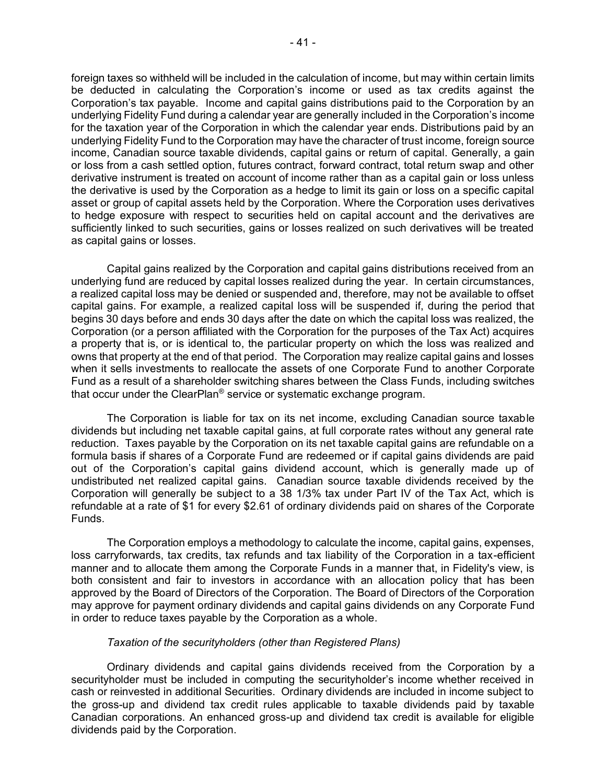foreign taxes so withheld will be included in the calculation of income, but may within certain limits be deducted in calculating the Corporation's income or used as tax credits against the Corporation's tax payable. Income and capital gains distributions paid to the Corporation by an underlying Fidelity Fund during a calendar year are generally included in the Corporation's income for the taxation year of the Corporation in which the calendar year ends. Distributions paid by an underlying Fidelity Fund to the Corporation may have the character of trust income, foreign source income, Canadian source taxable dividends, capital gains or return of capital. Generally, a gain or loss from a cash settled option, futures contract, forward contract, total return swap and other derivative instrument is treated on account of income rather than as a capital gain or loss unless the derivative is used by the Corporation as a hedge to limit its gain or loss on a specific capital asset or group of capital assets held by the Corporation. Where the Corporation uses derivatives to hedge exposure with respect to securities held on capital account and the derivatives are sufficiently linked to such securities, gains or losses realized on such derivatives will be treated as capital gains or losses.

Capital gains realized by the Corporation and capital gains distributions received from an underlying fund are reduced by capital losses realized during the year. In certain circumstances, a realized capital loss may be denied or suspended and, therefore, may not be available to offset capital gains. For example, a realized capital loss will be suspended if, during the period that begins 30 days before and ends 30 days after the date on which the capital loss was realized, the Corporation (or a person affiliated with the Corporation for the purposes of the Tax Act) acquires a property that is, or is identical to, the particular property on which the loss was realized and owns that property at the end of that period. The Corporation may realize capital gains and losses when it sells investments to reallocate the assets of one Corporate Fund to another Corporate Fund as a result of a shareholder switching shares between the Class Funds, including switches that occur under the ClearPlan® service or systematic exchange program.

The Corporation is liable for tax on its net income, excluding Canadian source taxable dividends but including net taxable capital gains, at full corporate rates without any general rate reduction. Taxes payable by the Corporation on its net taxable capital gains are refundable on a formula basis if shares of a Corporate Fund are redeemed or if capital gains dividends are paid out of the Corporation's capital gains dividend account, which is generally made up of undistributed net realized capital gains. Canadian source taxable dividends received by the Corporation will generally be subject to a 38 1/3% tax under Part IV of the Tax Act, which is refundable at a rate of \$1 for every \$2.61 of ordinary dividends paid on shares of the Corporate Funds.

The Corporation employs a methodology to calculate the income, capital gains, expenses, loss carryforwards, tax credits, tax refunds and tax liability of the Corporation in a tax-efficient manner and to allocate them among the Corporate Funds in a manner that, in Fidelity's view, is both consistent and fair to investors in accordance with an allocation policy that has been approved by the Board of Directors of the Corporation. The Board of Directors of the Corporation may approve for payment ordinary dividends and capital gains dividends on any Corporate Fund in order to reduce taxes payable by the Corporation as a whole.

## *Taxation of the securityholders (other than Registered Plans)*

Ordinary dividends and capital gains dividends received from the Corporation by a securityholder must be included in computing the securityholder's income whether received in cash or reinvested in additional Securities. Ordinary dividends are included in income subject to the gross-up and dividend tax credit rules applicable to taxable dividends paid by taxable Canadian corporations. An enhanced gross-up and dividend tax credit is available for eligible dividends paid by the Corporation.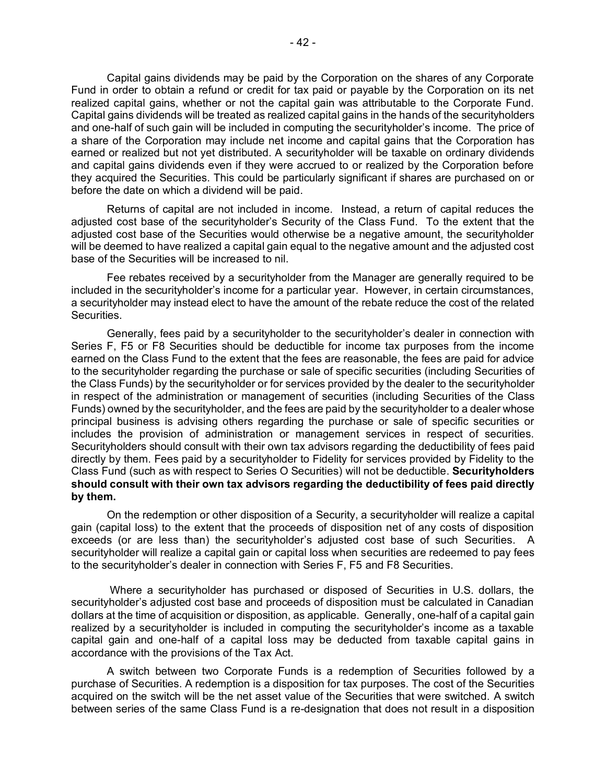Capital gains dividends may be paid by the Corporation on the shares of any Corporate Fund in order to obtain a refund or credit for tax paid or payable by the Corporation on its net realized capital gains, whether or not the capital gain was attributable to the Corporate Fund. Capital gains dividends will be treated as realized capital gains in the hands of the securityholders and one-half of such gain will be included in computing the securityholder's income. The price of a share of the Corporation may include net income and capital gains that the Corporation has earned or realized but not yet distributed. A securityholder will be taxable on ordinary dividends and capital gains dividends even if they were accrued to or realized by the Corporation before they acquired the Securities. This could be particularly significant if shares are purchased on or before the date on which a dividend will be paid.

Returns of capital are not included in income. Instead, a return of capital reduces the adjusted cost base of the securityholder's Security of the Class Fund. To the extent that the adjusted cost base of the Securities would otherwise be a negative amount, the securityholder will be deemed to have realized a capital gain equal to the negative amount and the adjusted cost base of the Securities will be increased to nil.

Fee rebates received by a securityholder from the Manager are generally required to be included in the securityholder's income for a particular year. However, in certain circumstances, a securityholder may instead elect to have the amount of the rebate reduce the cost of the related Securities.

Generally, fees paid by a securityholder to the securityholder's dealer in connection with Series F, F5 or F8 Securities should be deductible for income tax purposes from the income earned on the Class Fund to the extent that the fees are reasonable, the fees are paid for advice to the securityholder regarding the purchase or sale of specific securities (including Securities of the Class Funds) by the securityholder or for services provided by the dealer to the securityholder in respect of the administration or management of securities (including Securities of the Class Funds) owned by the securityholder, and the fees are paid by the securityholder to a dealer whose principal business is advising others regarding the purchase or sale of specific securities or includes the provision of administration or management services in respect of securities. Securityholders should consult with their own tax advisors regarding the deductibility of fees paid directly by them. Fees paid by a securityholder to Fidelity for services provided by Fidelity to the Class Fund (such as with respect to Series O Securities) will not be deductible. **Securityholders should consult with their own tax advisors regarding the deductibility of fees paid directly by them.**

On the redemption or other disposition of a Security, a securityholder will realize a capital gain (capital loss) to the extent that the proceeds of disposition net of any costs of disposition exceeds (or are less than) the securityholder's adjusted cost base of such Securities. A securityholder will realize a capital gain or capital loss when securities are redeemed to pay fees to the securityholder's dealer in connection with Series F, F5 and F8 Securities.

Where a securityholder has purchased or disposed of Securities in U.S. dollars, the securityholder's adjusted cost base and proceeds of disposition must be calculated in Canadian dollars at the time of acquisition or disposition, as applicable. Generally, one-half of a capital gain realized by a securityholder is included in computing the securityholder's income as a taxable capital gain and one-half of a capital loss may be deducted from taxable capital gains in accordance with the provisions of the Tax Act.

A switch between two Corporate Funds is a redemption of Securities followed by a purchase of Securities. A redemption is a disposition for tax purposes. The cost of the Securities acquired on the switch will be the net asset value of the Securities that were switched. A switch between series of the same Class Fund is a re-designation that does not result in a disposition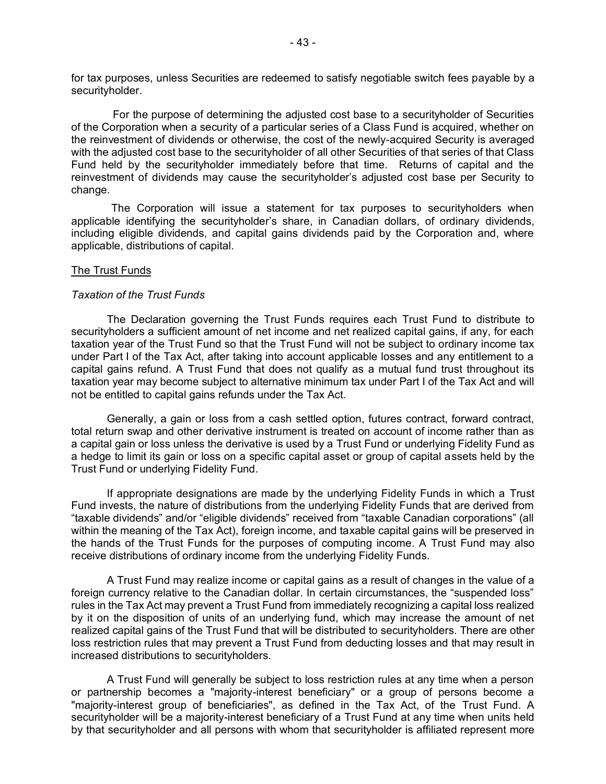for tax purposes, unless Securities are redeemed to satisfy negotiable switch fees payable by a securityholder.

 For the purpose of determining the adjusted cost base to a securityholder of Securities of the Corporation when a security of a particular series of a Class Fund is acquired, whether on the reinvestment of dividends or otherwise, the cost of the newly-acquired Security is averaged with the adjusted cost base to the securityholder of all other Securities of that series of that Class Fund held by the securityholder immediately before that time. Returns of capital and the reinvestment of dividends may cause the securityholder's adjusted cost base per Security to change.

The Corporation will issue a statement for tax purposes to securityholders when applicable identifying the securityholder's share, in Canadian dollars, of ordinary dividends, including eligible dividends, and capital gains dividends paid by the Corporation and, where applicable, distributions of capital.

#### The Trust Funds

#### *Taxation of the Trust Funds*

The Declaration governing the Trust Funds requires each Trust Fund to distribute to securityholders a sufficient amount of net income and net realized capital gains, if any, for each taxation year of the Trust Fund so that the Trust Fund will not be subject to ordinary income tax under Part I of the Tax Act, after taking into account applicable losses and any entitlement to a capital gains refund. A Trust Fund that does not qualify as a mutual fund trust throughout its taxation year may become subject to alternative minimum tax under Part I of the Tax Act and will not be entitled to capital gains refunds under the Tax Act.

Generally, a gain or loss from a cash settled option, futures contract, forward contract, total return swap and other derivative instrument is treated on account of income rather than as a capital gain or loss unless the derivative is used by a Trust Fund or underlying Fidelity Fund as a hedge to limit its gain or loss on a specific capital asset or group of capital assets held by the Trust Fund or underlying Fidelity Fund.

If appropriate designations are made by the underlying Fidelity Funds in which a Trust Fund invests, the nature of distributions from the underlying Fidelity Funds that are derived from "taxable dividends" and/or "eligible dividends" received from "taxable Canadian corporations" (all within the meaning of the Tax Act), foreign income, and taxable capital gains will be preserved in the hands of the Trust Funds for the purposes of computing income. A Trust Fund may also receive distributions of ordinary income from the underlying Fidelity Funds.

A Trust Fund may realize income or capital gains as a result of changes in the value of a foreign currency relative to the Canadian dollar. In certain circumstances, the "suspended loss" rules in the Tax Act may prevent a Trust Fund from immediately recognizing a capital loss realized by it on the disposition of units of an underlying fund, which may increase the amount of net realized capital gains of the Trust Fund that will be distributed to securityholders. There are other loss restriction rules that may prevent a Trust Fund from deducting losses and that may result in increased distributions to securityholders.

A Trust Fund will generally be subject to loss restriction rules at any time when a person or partnership becomes a "majority-interest beneficiary" or a group of persons become a "majority-interest group of beneficiaries", as defined in the Tax Act, of the Trust Fund. A securityholder will be a majority-interest beneficiary of a Trust Fund at any time when units held by that securityholder and all persons with whom that securityholder is affiliated represent more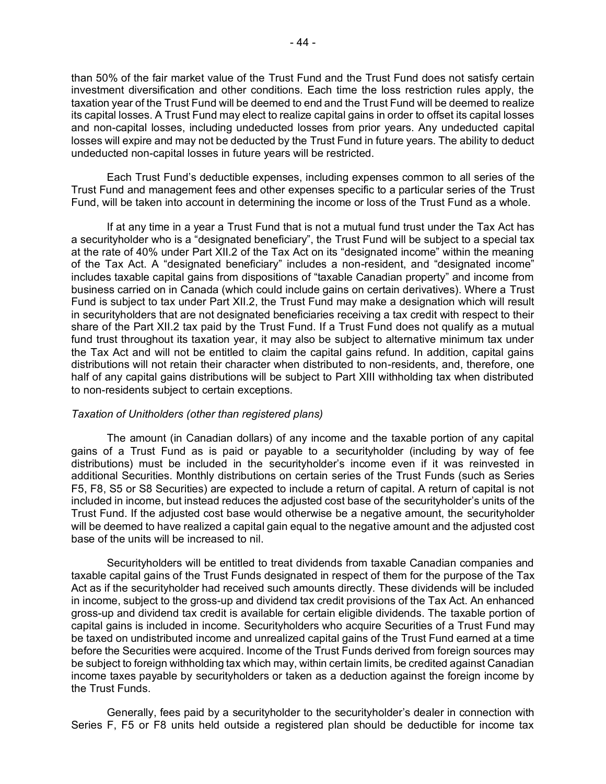than 50% of the fair market value of the Trust Fund and the Trust Fund does not satisfy certain investment diversification and other conditions. Each time the loss restriction rules apply, the taxation year of the Trust Fund will be deemed to end and the Trust Fund will be deemed to realize its capital losses. A Trust Fund may elect to realize capital gains in order to offset its capital losses and non-capital losses, including undeducted losses from prior years. Any undeducted capital losses will expire and may not be deducted by the Trust Fund in future years. The ability to deduct undeducted non-capital losses in future years will be restricted.

Each Trust Fund's deductible expenses, including expenses common to all series of the Trust Fund and management fees and other expenses specific to a particular series of the Trust Fund, will be taken into account in determining the income or loss of the Trust Fund as a whole.

If at any time in a year a Trust Fund that is not a mutual fund trust under the Tax Act has a securityholder who is a "designated beneficiary", the Trust Fund will be subject to a special tax at the rate of 40% under Part XII.2 of the Tax Act on its "designated income" within the meaning of the Tax Act. A "designated beneficiary" includes a non-resident, and "designated income" includes taxable capital gains from dispositions of "taxable Canadian property" and income from business carried on in Canada (which could include gains on certain derivatives). Where a Trust Fund is subject to tax under Part XII.2, the Trust Fund may make a designation which will result in securityholders that are not designated beneficiaries receiving a tax credit with respect to their share of the Part XII.2 tax paid by the Trust Fund. If a Trust Fund does not qualify as a mutual fund trust throughout its taxation year, it may also be subject to alternative minimum tax under the Tax Act and will not be entitled to claim the capital gains refund. In addition, capital gains distributions will not retain their character when distributed to non-residents, and, therefore, one half of any capital gains distributions will be subject to Part XIII withholding tax when distributed to non-residents subject to certain exceptions.

#### *Taxation of Unitholders (other than registered plans)*

The amount (in Canadian dollars) of any income and the taxable portion of any capital gains of a Trust Fund as is paid or payable to a securityholder (including by way of fee distributions) must be included in the securityholder's income even if it was reinvested in additional Securities. Monthly distributions on certain series of the Trust Funds (such as Series F5, F8, S5 or S8 Securities) are expected to include a return of capital. A return of capital is not included in income, but instead reduces the adjusted cost base of the securityholder's units of the Trust Fund. If the adjusted cost base would otherwise be a negative amount, the securityholder will be deemed to have realized a capital gain equal to the negative amount and the adjusted cost base of the units will be increased to nil.

Securityholders will be entitled to treat dividends from taxable Canadian companies and taxable capital gains of the Trust Funds designated in respect of them for the purpose of the Tax Act as if the securityholder had received such amounts directly. These dividends will be included in income, subject to the gross-up and dividend tax credit provisions of the Tax Act. An enhanced gross-up and dividend tax credit is available for certain eligible dividends. The taxable portion of capital gains is included in income. Securityholders who acquire Securities of a Trust Fund may be taxed on undistributed income and unrealized capital gains of the Trust Fund earned at a time before the Securities were acquired. Income of the Trust Funds derived from foreign sources may be subject to foreign withholding tax which may, within certain limits, be credited against Canadian income taxes payable by securityholders or taken as a deduction against the foreign income by the Trust Funds.

Generally, fees paid by a securityholder to the securityholder's dealer in connection with Series F, F5 or F8 units held outside a registered plan should be deductible for income tax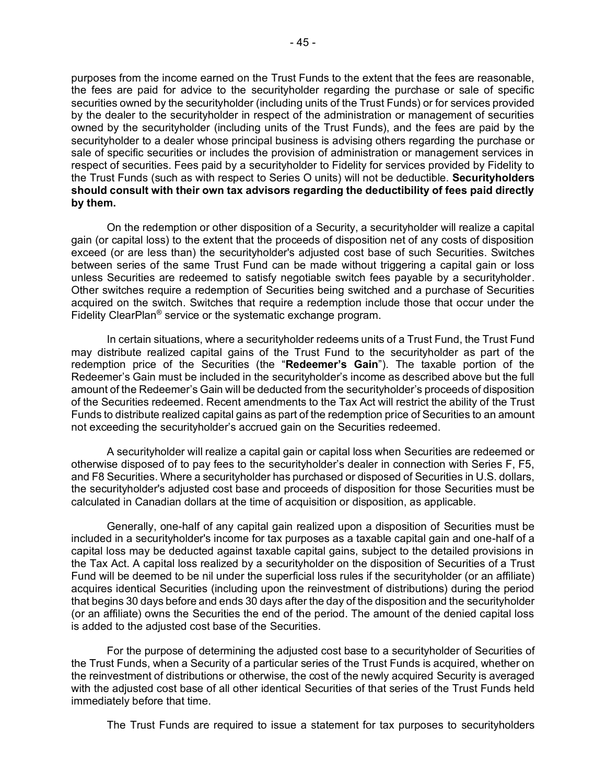purposes from the income earned on the Trust Funds to the extent that the fees are reasonable, the fees are paid for advice to the securityholder regarding the purchase or sale of specific securities owned by the securityholder (including units of the Trust Funds) or for services provided by the dealer to the securityholder in respect of the administration or management of securities owned by the securityholder (including units of the Trust Funds), and the fees are paid by the securityholder to a dealer whose principal business is advising others regarding the purchase or sale of specific securities or includes the provision of administration or management services in respect of securities. Fees paid by a securityholder to Fidelity for services provided by Fidelity to the Trust Funds (such as with respect to Series O units) will not be deductible. **Securityholders should consult with their own tax advisors regarding the deductibility of fees paid directly by them.**

On the redemption or other disposition of a Security, a securityholder will realize a capital gain (or capital loss) to the extent that the proceeds of disposition net of any costs of disposition exceed (or are less than) the securityholder's adjusted cost base of such Securities. Switches between series of the same Trust Fund can be made without triggering a capital gain or loss unless Securities are redeemed to satisfy negotiable switch fees payable by a securityholder. Other switches require a redemption of Securities being switched and a purchase of Securities acquired on the switch. Switches that require a redemption include those that occur under the Fidelity ClearPlan® service or the systematic exchange program.

In certain situations, where a securityholder redeems units of a Trust Fund, the Trust Fund may distribute realized capital gains of the Trust Fund to the securityholder as part of the redemption price of the Securities (the "**Redeemer's Gain**"). The taxable portion of the Redeemer's Gain must be included in the securityholder's income as described above but the full amount of the Redeemer's Gain will be deducted from the securityholder's proceeds of disposition of the Securities redeemed. Recent amendments to the Tax Act will restrict the ability of the Trust Funds to distribute realized capital gains as part of the redemption price of Securities to an amount not exceeding the securityholder's accrued gain on the Securities redeemed.

A securityholder will realize a capital gain or capital loss when Securities are redeemed or otherwise disposed of to pay fees to the securityholder's dealer in connection with Series F, F5, and F8 Securities. Where a securityholder has purchased or disposed of Securities in U.S. dollars, the securityholder's adjusted cost base and proceeds of disposition for those Securities must be calculated in Canadian dollars at the time of acquisition or disposition, as applicable.

Generally, one-half of any capital gain realized upon a disposition of Securities must be included in a securityholder's income for tax purposes as a taxable capital gain and one-half of a capital loss may be deducted against taxable capital gains, subject to the detailed provisions in the Tax Act. A capital loss realized by a securityholder on the disposition of Securities of a Trust Fund will be deemed to be nil under the superficial loss rules if the securityholder (or an affiliate) acquires identical Securities (including upon the reinvestment of distributions) during the period that begins 30 days before and ends 30 days after the day of the disposition and the securityholder (or an affiliate) owns the Securities the end of the period. The amount of the denied capital loss is added to the adjusted cost base of the Securities.

For the purpose of determining the adjusted cost base to a securityholder of Securities of the Trust Funds, when a Security of a particular series of the Trust Funds is acquired, whether on the reinvestment of distributions or otherwise, the cost of the newly acquired Security is averaged with the adjusted cost base of all other identical Securities of that series of the Trust Funds held immediately before that time.

The Trust Funds are required to issue a statement for tax purposes to securityholders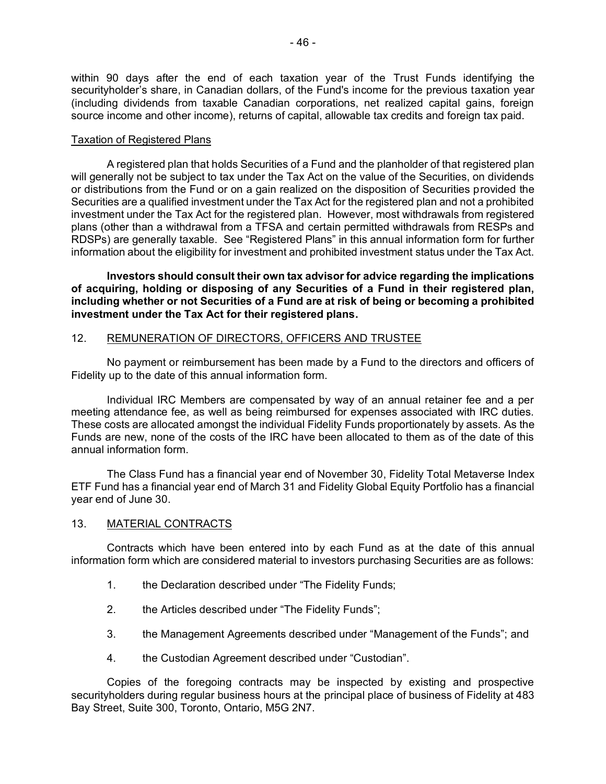within 90 days after the end of each taxation year of the Trust Funds identifying the securityholder's share, in Canadian dollars, of the Fund's income for the previous taxation year (including dividends from taxable Canadian corporations, net realized capital gains, foreign source income and other income), returns of capital, allowable tax credits and foreign tax paid.

## Taxation of Registered Plans

A registered plan that holds Securities of a Fund and the planholder of that registered plan will generally not be subject to tax under the Tax Act on the value of the Securities, on dividends or distributions from the Fund or on a gain realized on the disposition of Securities provided the Securities are a qualified investment under the Tax Act for the registered plan and not a prohibited investment under the Tax Act for the registered plan. However, most withdrawals from registered plans (other than a withdrawal from a TFSA and certain permitted withdrawals from RESPs and RDSPs) are generally taxable. See "Registered Plans" in this annual information form for further information about the eligibility for investment and prohibited investment status under the Tax Act.

**Investors should consult their own tax advisor for advice regarding the implications of acquiring, holding or disposing of any Securities of a Fund in their registered plan, including whether or not Securities of a Fund are at risk of being or becoming a prohibited investment under the Tax Act for their registered plans.**

# <span id="page-47-0"></span>12. REMUNERATION OF DIRECTORS, OFFICERS AND TRUSTEE

No payment or reimbursement has been made by a Fund to the directors and officers of Fidelity up to the date of this annual information form.

Individual IRC Members are compensated by way of an annual retainer fee and a per meeting attendance fee, as well as being reimbursed for expenses associated with IRC duties. These costs are allocated amongst the individual Fidelity Funds proportionately by assets. As the Funds are new, none of the costs of the IRC have been allocated to them as of the date of this annual information form.

The Class Fund has a financial year end of November 30, Fidelity Total Metaverse Index ETF Fund has a financial year end of March 31 and Fidelity Global Equity Portfolio has a financial year end of June 30.

## 13. MATERIAL CONTRACTS

Contracts which have been entered into by each Fund as at the date of this annual information form which are considered material to investors purchasing Securities are as follows:

- <span id="page-47-1"></span>1. the Declaration described under "The Fidelity Funds;
- 2. the Articles described under "The Fidelity Funds";
- 3. the Management Agreements described under "Management of the Funds"; and
- 4. the Custodian Agreement described under "Custodian".

Copies of the foregoing contracts may be inspected by existing and prospective securityholders during regular business hours at the principal place of business of Fidelity at 483 Bay Street, Suite 300, Toronto, Ontario, M5G 2N7.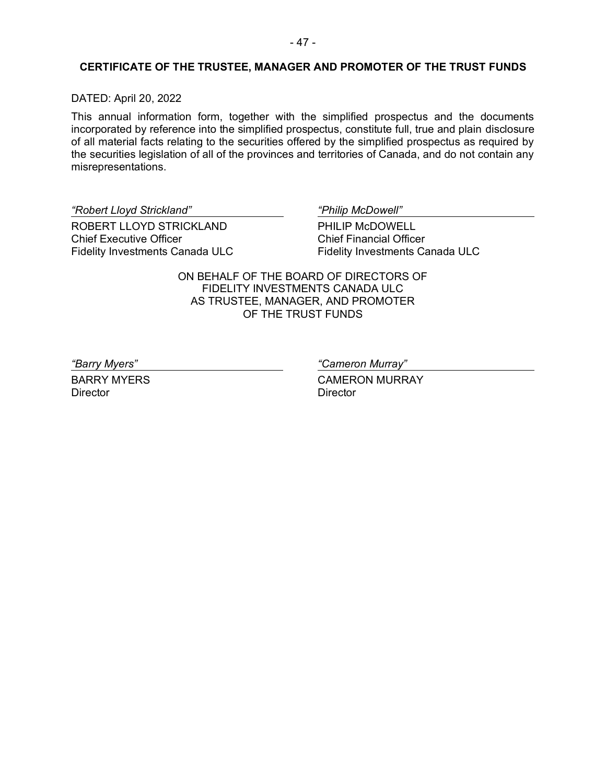## <span id="page-48-0"></span>**CERTIFICATE OF THE TRUSTEE, MANAGER AND PROMOTER OF THE TRUST FUNDS**

## DATED: April 20, 2022

This annual information form, together with the simplified prospectus and the documents incorporated by reference into the simplified prospectus, constitute full, true and plain disclosure of all material facts relating to the securities offered by the simplified prospectus as required by the securities legislation of all of the provinces and territories of Canada, and do not contain any misrepresentations.

*"Robert Lloyd Strickland" "Philip McDowell"*

ROBERT LLOYD STRICKLAND Chief Executive Officer Fidelity Investments Canada ULC

PHILIP McDOWELL Chief Financial Officer Fidelity Investments Canada ULC

ON BEHALF OF THE BOARD OF DIRECTORS OF FIDELITY INVESTMENTS CANADA ULC AS TRUSTEE, MANAGER, AND PROMOTER OF THE TRUST FUNDS

BARRY MYERS **Director** 

*"Barry Myers" "Cameron Murray"*

CAMERON MURRAY **Director**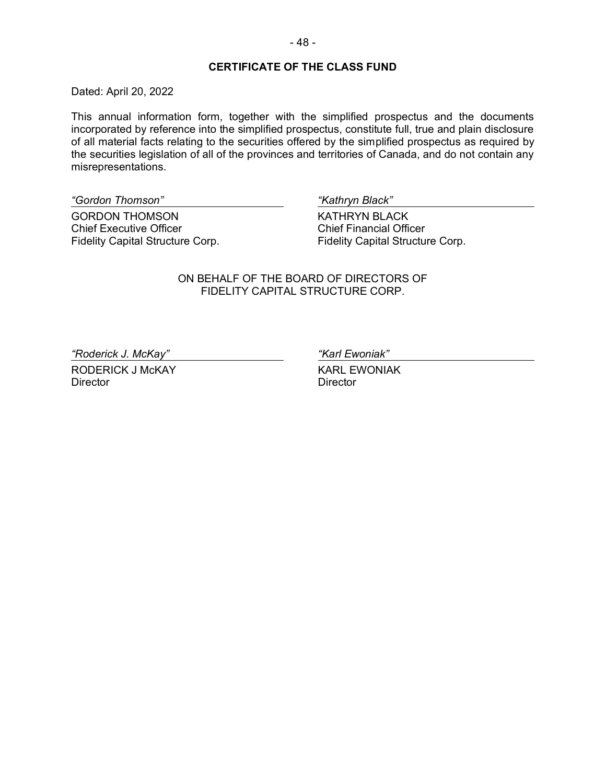Dated: April 20, 2022

This annual information form, together with the simplified prospectus and the documents incorporated by reference into the simplified prospectus, constitute full, true and plain disclosure of all material facts relating to the securities offered by the simplified prospectus as required by the securities legislation of all of the provinces and territories of Canada, and do not contain any misrepresentations.

*"Gordon Thomson" "Kathryn Black"*

GORDON THOMSON Chief Executive Officer Fidelity Capital Structure Corp.

<span id="page-49-0"></span>

KATHRYN BLACK Chief Financial Officer Fidelity Capital Structure Corp.

ON BEHALF OF THE BOARD OF DIRECTORS OF FIDELITY CAPITAL STRUCTURE CORP.

*"Roderick J. McKay" "Karl Ewoniak"*

RODERICK J McKAY **Director** 

KARL EWONIAK **Director**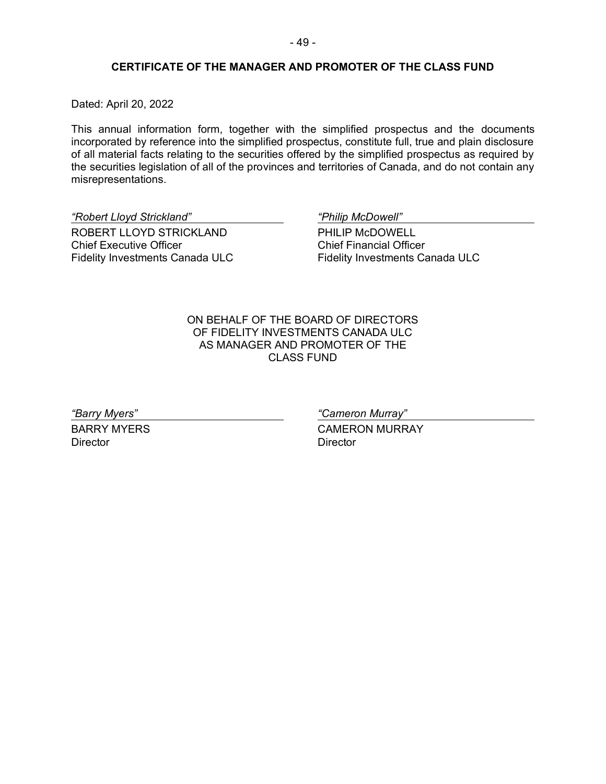## **CERTIFICATE OF THE MANAGER AND PROMOTER OF THE CLASS FUND**

Dated: April 20, 2022

This annual information form, together with the simplified prospectus and the documents incorporated by reference into the simplified prospectus, constitute full, true and plain disclosure of all material facts relating to the securities offered by the simplified prospectus as required by the securities legislation of all of the provinces and territories of Canada, and do not contain any misrepresentations.

*"Robert Lloyd Strickland" "Philip McDowell"*

ROBERT LLOYD STRICKLAND Chief Executive Officer Fidelity Investments Canada ULC

<span id="page-50-0"></span>

PHILIP McDOWELL Chief Financial Officer Fidelity Investments Canada ULC

ON BEHALF OF THE BOARD OF DIRECTORS OF FIDELITY INVESTMENTS CANADA ULC AS MANAGER AND PROMOTER OF THE CLASS FUND

BARRY MYERS **Director** 

*"Barry Myers" "Cameron Murray"*

CAMERON MURRAY **Director**